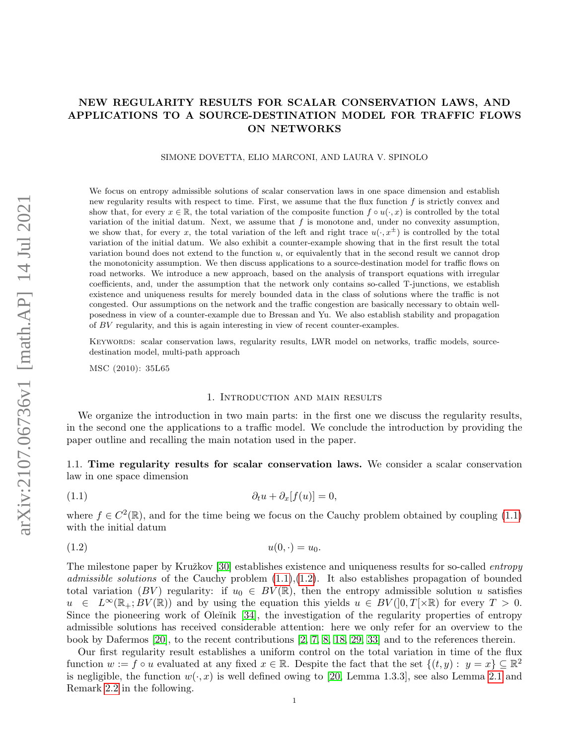# NEW REGULARITY RESULTS FOR SCALAR CONSERVATION LAWS, AND APPLICATIONS TO A SOURCE-DESTINATION MODEL FOR TRAFFIC FLOWS ON NETWORKS

#### SIMONE DOVETTA, ELIO MARCONI, AND LAURA V. SPINOLO

We focus on entropy admissible solutions of scalar conservation laws in one space dimension and establish new regularity results with respect to time. First, we assume that the flux function  $f$  is strictly convex and show that, for every  $x \in \mathbb{R}$ , the total variation of the composite function  $f \circ u(\cdot, x)$  is controlled by the total variation of the initial datum. Next, we assume that  $f$  is monotone and, under no convexity assumption, we show that, for every x, the total variation of the left and right trace  $u(\cdot, x^{\pm})$  is controlled by the total variation of the initial datum. We also exhibit a counter-example showing that in the first result the total variation bound does not extend to the function  $u$ , or equivalently that in the second result we cannot drop the monotonicity assumption. We then discuss applications to a source-destination model for traffic flows on road networks. We introduce a new approach, based on the analysis of transport equations with irregular coefficients, and, under the assumption that the network only contains so-called T-junctions, we establish existence and uniqueness results for merely bounded data in the class of solutions where the traffic is not congested. Our assumptions on the network and the traffic congestion are basically necessary to obtain wellposedness in view of a counter-example due to Bressan and Yu. We also establish stability and propagation of BV regularity, and this is again interesting in view of recent counter-examples.

Keywords: scalar conservation laws, regularity results, LWR model on networks, traffic models, sourcedestination model, multi-path approach

MSC (2010): 35L65

#### <span id="page-0-1"></span><span id="page-0-0"></span>1. Introduction and main results

We organize the introduction in two main parts: in the first one we discuss the regularity results, in the second one the applications to a traffic model. We conclude the introduction by providing the paper outline and recalling the main notation used in the paper.

1.1. Time regularity results for scalar conservation laws. We consider a scalar conservation law in one space dimension

$$
(1.1) \t\t\t\t\t\partial_t u + \partial_x[f(u)] = 0,
$$

where  $f \in C^2(\mathbb{R})$ , and for the time being we focus on the Cauchy problem obtained by coupling [\(1.1\)](#page-0-0) with the initial datum

$$
(1.2) \t\t u(0, \cdot) = u_0.
$$

The milestone paper by Kružkov  $[30]$  establishes existence and uniqueness results for so-called *entropy* admissible solutions of the Cauchy problem  $(1.1),(1.2)$  $(1.1),(1.2)$  $(1.1),(1.2)$ . It also establishes propagation of bounded total variation (BV) regularity: if  $u_0 \in BV(\mathbb{R})$ , then the entropy admissible solution u satisfies  $u \in L^{\infty}(\mathbb{R}_{+};BV(\mathbb{R}))$  and by using the equation this yields  $u \in BV([0,T[\times\mathbb{R})])$  for every  $T > 0$ . Since the pioneering work of Oleĭnik [\[34\]](#page-27-1), the investigation of the regularity properties of entropy admissible solutions has received considerable attention: here we only refer for an overview to the book by Dafermos [\[20\]](#page-27-2), to the recent contributions [\[2,](#page-26-0) [7,](#page-26-1) [8,](#page-26-2) [18,](#page-26-3) [29,](#page-27-3) [33\]](#page-27-4) and to the references therein.

Our first regularity result establishes a uniform control on the total variation in time of the flux function  $w := f \circ u$  evaluated at any fixed  $x \in \mathbb{R}$ . Despite the fact that the set  $\{(t, y) : y = x\} \subseteq \mathbb{R}^2$ is negligible, the function  $w(\cdot, x)$  is well defined owing to [\[20,](#page-27-2) Lemma 1.3.3], see also Lemma [2.1](#page-6-0) and Remark [2.2](#page-6-1) in the following.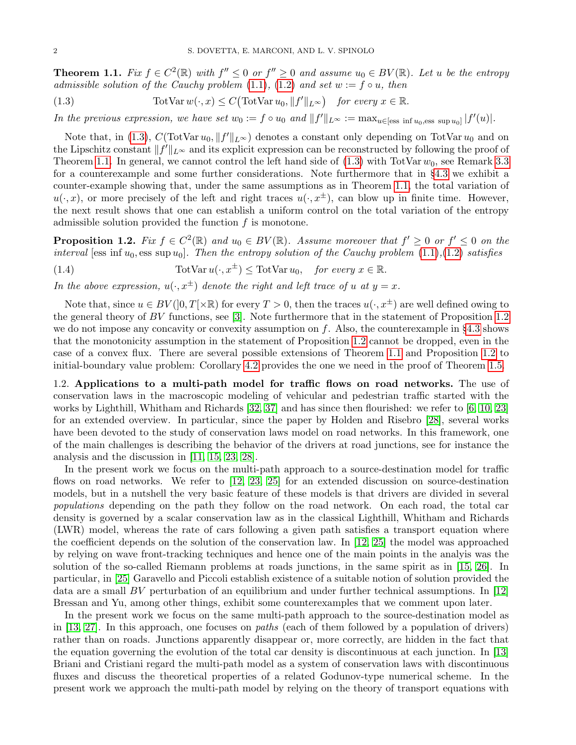<span id="page-1-1"></span>**Theorem 1.1.** Fix  $f \in C^2(\mathbb{R})$  with  $f'' \leq 0$  or  $f'' \geq 0$  and assume  $u_0 \in BV(\mathbb{R})$ . Let u be the entropy admissible solution of the Cauchy problem [\(1.1\)](#page-0-0), [\(1.2\)](#page-0-1) and set  $w := f \circ u$ , then

<span id="page-1-0"></span>(1.3) 
$$
\text{TotVar } w(\cdot, x) \le C \big( \text{TotVar } u_0, \|f'\|_{L^{\infty}} \big) \text{ for every } x \in \mathbb{R}.
$$

In the previous expression, we have set  $w_0 := f \circ u_0$  and  $||f'||_{L^{\infty}} := \max_{u \in [\text{ess inf } u_0, \text{ess sup } u_0]} |f'(u)|$ .

Note that, in [\(1.3\)](#page-1-0),  $C(TotVar u_0, ||f'||_{L^{\infty}})$  denotes a constant only depending on TotVar  $u_0$  and on the Lipschitz constant  $||f'||_{L^{\infty}}$  and its explicit expression can be reconstructed by following the proof of Theorem [1.1.](#page-1-1) In general, we cannot control the left hand side of  $(1.3)$  with TotVar  $w_0$ , see Remark [3.3](#page-14-0) for a counterexample and some further considerations. Note furthermore that in §[4.3](#page-16-0) we exhibit a counter-example showing that, under the same assumptions as in Theorem [1.1,](#page-1-1) the total variation of  $u(\cdot, x)$ , or more precisely of the left and right traces  $u(\cdot, x^{\pm})$ , can blow up in finite time. However, the next result shows that one can establish a uniform control on the total variation of the entropy admissible solution provided the function  $f$  is monotone.

<span id="page-1-2"></span>**Proposition 1.2.** Fix  $f \in C^2(\mathbb{R})$  and  $u_0 \in BV(\mathbb{R})$ . Assume moreover that  $f' \geq 0$  or  $f' \leq 0$  on the interval [ess inf  $u_0$ , ess sup  $u_0$ ]. Then the entropy solution of the Cauchy problem  $(1.1)$ , $(1.2)$  satisfies

<span id="page-1-3"></span>(1.4) 
$$
\text{TotVar } u(\cdot, x^{\pm}) \leq \text{TotVar } u_0, \quad \text{for every } x \in \mathbb{R}.
$$

In the above expression,  $u(\cdot, x^{\pm})$  denote the right and left trace of u at  $y = x$ .

Note that, since  $u \in BV([0,T]\times\mathbb{R})$  for every  $T > 0$ , then the traces  $u(\cdot, x^{\pm})$  are well defined owing to the general theory of BV functions, see [\[3\]](#page-26-4). Note furthermore that in the statement of Proposition [1.2](#page-1-2) we do not impose any concavity or convexity assumption on  $f$ . Also, the counterexample in §[4.3](#page-16-0) shows that the monotonicity assumption in the statement of Proposition [1.2](#page-1-2) cannot be dropped, even in the case of a convex flux. There are several possible extensions of Theorem [1.1](#page-1-1) and Proposition [1.2](#page-1-2) to initial-boundary value problem: Corollary [4.2](#page-15-0) provides the one we need in the proof of Theorem [1.5.](#page-4-0)

1.2. Applications to a multi-path model for traffic flows on road networks. The use of conservation laws in the macroscopic modeling of vehicular and pedestrian traffic started with the works by Lighthill, Whitham and Richards [\[32,](#page-27-5) [37\]](#page-27-6) and has since then flourished: we refer to [\[6,](#page-26-5) [10,](#page-26-6) [23\]](#page-27-7) for an extended overview. In particular, since the paper by Holden and Risebro [\[28\]](#page-27-8), several works have been devoted to the study of conservation laws model on road networks. In this framework, one of the main challenges is describing the behavior of the drivers at road junctions, see for instance the analysis and the discussion in [\[11,](#page-26-7) [15,](#page-26-8) [23,](#page-27-7) [28\]](#page-27-8).

In the present work we focus on the multi-path approach to a source-destination model for traffic flows on road networks. We refer to [\[12,](#page-26-9) [23,](#page-27-7) [25\]](#page-27-9) for an extended discussion on source-destination models, but in a nutshell the very basic feature of these models is that drivers are divided in several populations depending on the path they follow on the road network. On each road, the total car density is governed by a scalar conservation law as in the classical Lighthill, Whitham and Richards (LWR) model, whereas the rate of cars following a given path satisfies a transport equation where the coefficient depends on the solution of the conservation law. In [\[12,](#page-26-9) [25\]](#page-27-9) the model was approached by relying on wave front-tracking techniques and hence one of the main points in the analyis was the solution of the so-called Riemann problems at roads junctions, in the same spirit as in [\[15,](#page-26-8) [26\]](#page-27-10). In particular, in [\[25\]](#page-27-9) Garavello and Piccoli establish existence of a suitable notion of solution provided the data are a small BV perturbation of an equilibrium and under further technical assumptions. In  $[12]$ Bressan and Yu, among other things, exhibit some counterexamples that we comment upon later.

In the present work we focus on the same multi-path approach to the source-destination model as in [\[13,](#page-26-10) [27\]](#page-27-11). In this approach, one focuses on *paths* (each of them followed by a population of drivers) rather than on roads. Junctions apparently disappear or, more correctly, are hidden in the fact that the equation governing the evolution of the total car density is discontinuous at each junction. In [\[13\]](#page-26-10) Briani and Cristiani regard the multi-path model as a system of conservation laws with discontinuous fluxes and discuss the theoretical properties of a related Godunov-type numerical scheme. In the present work we approach the multi-path model by relying on the theory of transport equations with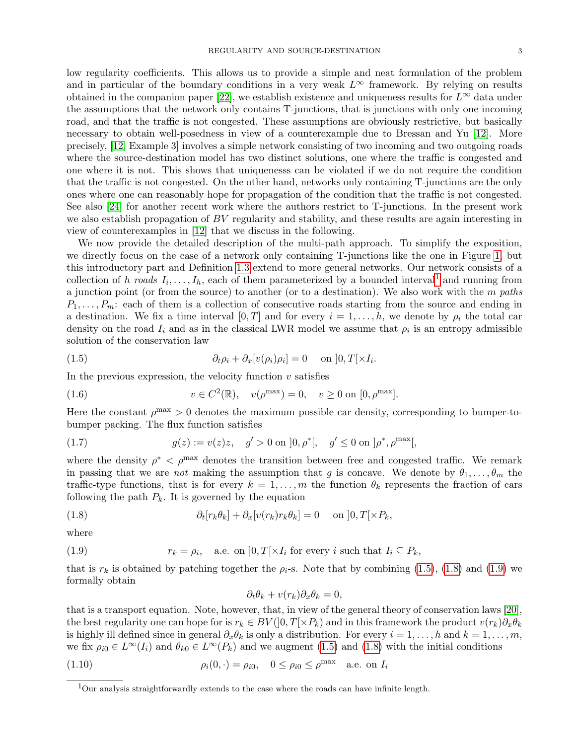low regularity coefficients. This allows us to provide a simple and neat formulation of the problem and in particular of the boundary conditions in a very weak  $L^{\infty}$  framework. By relying on results obtained in the companion paper [\[22\]](#page-27-12), we establish existence and uniqueness results for  $L^{\infty}$  data under the assumptions that the network only contains T-junctions, that is junctions with only one incoming road, and that the traffic is not congested. These assumptions are obviously restrictive, but basically necessary to obtain well-posedness in view of a counterexample due to Bressan and Yu [\[12\]](#page-26-9). More precisely, [\[12,](#page-26-9) Example 3] involves a simple network consisting of two incoming and two outgoing roads where the source-destination model has two distinct solutions, one where the traffic is congested and one where it is not. This shows that uniquenesss can be violated if we do not require the condition that the traffic is not congested. On the other hand, networks only containing T-junctions are the only ones where one can reasonably hope for propagation of the condition that the traffic is not congested. See also [\[24\]](#page-27-13) for another recent work where the authors restrict to T-junctions. In the present work we also establish propagation of BV regularity and stability, and these results are again interesting in view of counterexamples in [\[12\]](#page-26-9) that we discuss in the following.

We now provide the detailed description of the multi-path approach. To simplify the exposition, we directly focus on the case of a network only containing T-junctions like the one in Figure [1,](#page-3-0) but this introductory part and Definition [1.3](#page-3-1) extend to more general networks. Our network consists of a collection of h roads  $I_i, \ldots, I_h$ , each of them parameterized by a bounded interval<sup>[1](#page-2-0)</sup> and running from a junction point (or from the source) to another (or to a destination). We also work with the  $m$  paths  $P_1, \ldots, P_m$ : each of them is a collection of consecutive roads starting from the source and ending in a destination. We fix a time interval  $[0, T]$  and for every  $i = 1, \ldots, h$ , we denote by  $\rho_i$  the total car density on the road  $I_i$  and as in the classical LWR model we assume that  $\rho_i$  is an entropy admissible solution of the conservation law

<span id="page-2-1"></span>(1.5) 
$$
\partial_t \rho_i + \partial_x [v(\rho_i) \rho_i] = 0 \quad \text{on } ]0, T[ \times I_i.
$$

In the previous expression, the velocity function  $v$  satisfies

<span id="page-2-5"></span>(1.6) 
$$
v \in C^2(\mathbb{R}), \quad v(\rho^{\max}) = 0, \quad v \ge 0 \text{ on } [0, \rho^{\max}].
$$

Here the constant  $\rho^{\text{max}} > 0$  denotes the maximum possible car density, corresponding to bumper-tobumper packing. The flux function satisfies

<span id="page-2-6"></span>(1.7) 
$$
g(z) := v(z)z, \quad g' > 0 \text{ on } ]0, \rho^*[, \quad g' \le 0 \text{ on } ]\rho^*, \rho^{\max}[
$$

where the density  $\rho^* < \rho^{\text{max}}$  denotes the transition between free and congested traffic. We remark in passing that we are not making the assumption that g is concave. We denote by  $\theta_1, \ldots, \theta_m$  the traffic-type functions, that is for every  $k = 1, ..., m$  the function  $\theta_k$  represents the fraction of cars following the path  $P_k$ . It is governed by the equation

(1.8) 
$$
\partial_t[r_k\theta_k] + \partial_x[v(r_k)r_k\theta_k] = 0 \quad \text{on } ]0,T[\times P_k,
$$

where

(1.9) 
$$
r_k = \rho_i, \quad \text{a.e. on } ]0, T[ \times I_i \text{ for every } i \text{ such that } I_i \subseteq P_k,
$$

that is  $r_k$  is obtained by patching together the  $\rho_i$ -s. Note that by combining [\(1.5\)](#page-2-1), [\(1.8\)](#page-2-2) and [\(1.9\)](#page-2-3) we formally obtain

<span id="page-2-4"></span><span id="page-2-3"></span><span id="page-2-2"></span>
$$
\partial_t \theta_k + v(r_k) \partial_x \theta_k = 0,
$$

that is a transport equation. Note, however, that, in view of the general theory of conservation laws [\[20\]](#page-27-2), the best regularity one can hope for is  $r_k \in BV([0,T[\times P_k))$  and in this framework the product  $v(r_k)\partial_x\theta_k$ is highly ill defined since in general  $\partial_x \theta_k$  is only a distribution. For every  $i = 1, \ldots, h$  and  $k = 1, \ldots, m$ , we fix  $\rho_{i0} \in L^{\infty}(I_i)$  and  $\theta_{k0} \in L^{\infty}(P_k)$  and we augment [\(1.5\)](#page-2-1) and [\(1.8\)](#page-2-2) with the initial conditions

(1.10) 
$$
\rho_i(0, \cdot) = \rho_{i0}, \quad 0 \le \rho_{i0} \le \rho^{\max} \quad \text{a.e. on } I_i
$$

<span id="page-2-0"></span><sup>1</sup>Our analysis straightforwardly extends to the case where the roads can have infinite length.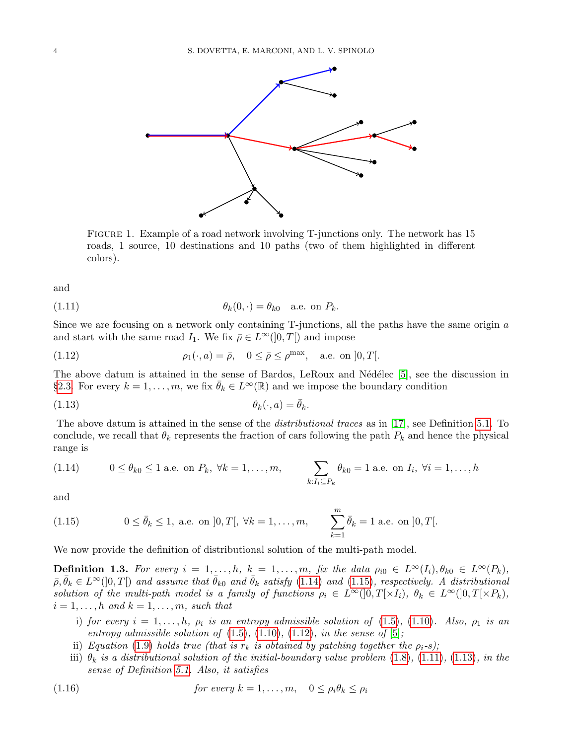

<span id="page-3-5"></span><span id="page-3-0"></span>Figure 1. Example of a road network involving T-junctions only. The network has 15 roads, 1 source, 10 destinations and 10 paths (two of them highlighted in different colors).

and

(1.11) 
$$
\theta_k(0, \cdot) = \theta_{k0} \quad \text{a.e. on } P_k.
$$

Since we are focusing on a network only containing T-junctions, all the paths have the same origin a and start with the same road  $I_1$ . We fix  $\bar{\rho} \in L^{\infty}(0,T]$  and impose

<span id="page-3-4"></span>(1.12) 
$$
\rho_1(\cdot, a) = \bar{\rho}, \quad 0 \le \bar{\rho} \le \rho^{\max}, \quad \text{a.e. on } ]0, T[.
$$

The above datum is attained in the sense of Bardos, LeRoux and Nédélec  $[5]$ , see the discussion in §[2.3.](#page-6-2) For every  $k = 1, ..., m$ , we fix  $\bar{\theta}_k \in L^{\infty}(\mathbb{R})$  and we impose the boundary condition

<span id="page-3-6"></span>
$$
\theta_k(\cdot, a) = \bar{\theta}_k.
$$

The above datum is attained in the sense of the distributional traces as in [\[17\]](#page-26-12), see Definition [5.1.](#page-19-0) To conclude, we recall that  $\theta_k$  represents the fraction of cars following the path  $P_k$  and hence the physical range is

<span id="page-3-2"></span>(1.14) 
$$
0 \le \theta_{k0} \le 1
$$
 a.e. on  $P_k$ ,  $\forall k = 1, ..., m$ , 
$$
\sum_{k: I_i \subseteq P_k} \theta_{k0} = 1
$$
 a.e. on  $I_i$ ,  $\forall i = 1, ..., h$ 

and

<span id="page-3-3"></span>(1.15) 
$$
0 \le \bar{\theta}_k \le 1
$$
, a.e. on  $[0, T[, \forall k = 1, ..., m,$   $\sum_{k=1}^m \bar{\theta}_k = 1$  a.e. on  $[0, T[$ .

We now provide the definition of distributional solution of the multi-path model.

<span id="page-3-1"></span>**Definition 1.3.** For every  $i = 1, \ldots, h$ ,  $k = 1, \ldots, m$ , fix the data  $\rho_{i0} \in L^{\infty}(I_i)$ ,  $\theta_{k0} \in L^{\infty}(P_k)$ ,  $\bar{\rho}, \bar{\theta}_k \in L^{\infty}(]0,T[)$  and assume that  $\bar{\theta}_{k0}$  and  $\bar{\theta}_k$  satisfy  $(1.14)$  and  $(1.15)$ , respectively. A distributional solution of the multi-path model is a family of functions  $\rho_i \in L^{\infty}(0,T[\times I_i), \theta_k \in L^{\infty}(0,T[\times P_k),$  $i = 1, \ldots, h$  and  $k = 1, \ldots, m$ , such that

- i) for every  $i = 1, \ldots, h$ ,  $\rho_i$  is an entropy admissible solution of [\(1.5\)](#page-2-1), [\(1.10\)](#page-2-4). Also,  $\rho_1$  is an entropy admissible solution of  $(1.5)$ ,  $(1.10)$ ,  $(1.12)$ , in the sense of  $[5]$ ;
- ii) Equation [\(1.9\)](#page-2-3) holds true (that is  $r_k$  is obtained by patching together the  $\rho_i$ -s);
- <span id="page-3-7"></span>iii)  $\theta_k$  is a distributional solution of the initial-boundary value problem [\(1.8\)](#page-2-2), [\(1.11\)](#page-3-5), [\(1.13\)](#page-3-6), in the sense of Definition [5.1.](#page-19-0) Also, it satisfies

(1.16) 
$$
\text{for every } k = 1, \dots, m, \quad 0 \le \rho_i \theta_k \le \rho_i
$$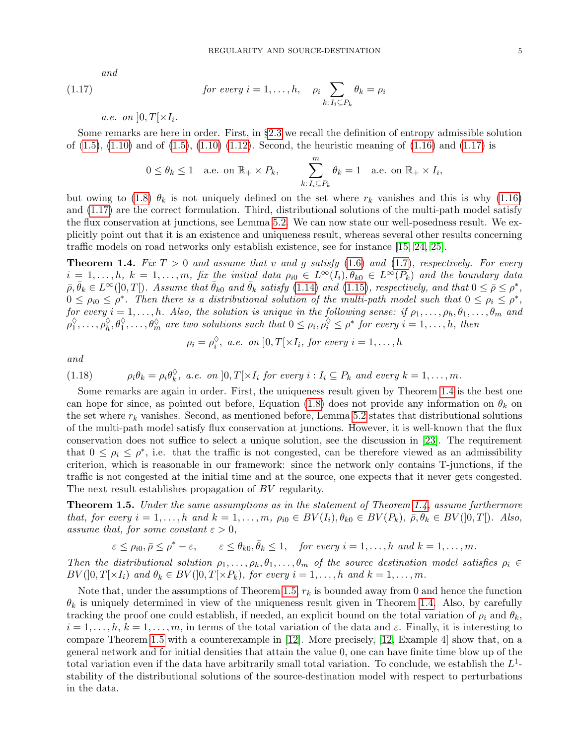and

(1.17) 
$$
\text{for every } i = 1, \dots, h, \quad \rho_i \sum_{k: I_i \subseteq P_k} \theta_k = \rho_i
$$

a.e. on  $]0,T[\times I_i$ .

Some remarks are here in order. First, in §[2.3](#page-6-2) we recall the definition of entropy admissible solution of  $(1.5)$ ,  $(1.10)$  and of  $(1.5)$ ,  $(1.10)$   $(1.12)$ . Second, the heuristic meaning of  $(1.16)$  and  $(1.17)$  is

<span id="page-4-1"></span>
$$
0 \le \theta_k \le 1
$$
 a.e. on  $\mathbb{R}_+ \times P_k$ , 
$$
\sum_{k:\,I_i \subseteq P_k}^m \theta_k = 1
$$
 a.e. on  $\mathbb{R}_+ \times I_i$ ,

but owing to [\(1.8\)](#page-2-2)  $\theta_k$  is not uniquely defined on the set where  $r_k$  vanishes and this is why [\(1.16\)](#page-3-7) and [\(1.17\)](#page-4-1) are the correct formulation. Third, distributional solutions of the multi-path model satisfy the flux conservation at junctions, see Lemma [5.2.](#page-19-1) We can now state our well-posedness result. We explicitly point out that it is an existence and uniqueness result, whereas several other results concerning traffic models on road networks only establish existence, see for instance [\[15,](#page-26-8) [24,](#page-27-13) [25\]](#page-27-9).

<span id="page-4-2"></span>**Theorem 1.4.** Fix  $T > 0$  and assume that v and g satisfy [\(1.6\)](#page-2-5) and [\(1.7\)](#page-2-6), respectively. For every  $i = 1, \ldots, h, k = 1, \ldots, m$ , fix the initial data  $\rho_{i0} \in L^{\infty}(I_i), \theta_{k0} \in L^{\infty}(P_k)$  and the boundary data  $\overline{\rho}, \overline{\theta}_k \in L^{\infty}(]0,T[$ ). Assume that  $\overline{\theta}_{k0}$  and  $\overline{\theta}_k$  satisfy [\(1.14\)](#page-3-2) and [\(1.15\)](#page-3-3), respectively, and that  $0 \le \overline{\rho} \le \rho^*$ ,  $0 \leq \rho_{i0} \leq \rho^*$ . Then there is a distributional solution of the multi-path model such that  $0 \leq \rho_i \leq \rho^*$ , for every  $i = 1, \ldots, h$ . Also, the solution is unique in the following sense: if  $\rho_1, \ldots, \rho_h, \theta_1, \ldots, \theta_m$  and  $\rho_1^\lozenge$  $\phi_1^{\Diamond}, \ldots, \phi_n^{\Diamond}, \theta_1^{\Diamond}, \ldots, \theta_m^{\Diamond}$  are two solutions such that  $0 \leq \rho_i, \rho_i^{\Diamond} \leq \rho^*$  for every  $i = 1, \ldots, h$ , then

$$
\rho_i = \rho_i^{\lozenge}, \ a.e. \ on \ ]0,T[\times I_i, \ for \ every \ i=1,\ldots,h
$$

<span id="page-4-3"></span>and

(1.18) 
$$
\rho_i \theta_k = \rho_i \theta_k^{\Diamond}, \text{ a.e. on } ]0, T[ \times I_i \text{ for every } i : I_i \subseteq P_k \text{ and every } k = 1, ..., m.
$$

Some remarks are again in order. First, the uniqueness result given by Theorem [1.4](#page-4-2) is the best one can hope for since, as pointed out before, Equation [\(1.8\)](#page-2-2) does not provide any information on  $\theta_k$  on the set where  $r_k$  vanishes. Second, as mentioned before, Lemma [5.2](#page-19-1) states that distributional solutions of the multi-path model satisfy flux conservation at junctions. However, it is well-known that the flux conservation does not suffice to select a unique solution, see the discussion in [\[23\]](#page-27-7). The requirement that  $0 \leq \rho_i \leq \rho^*$ , i.e. that the traffic is not congested, can be therefore viewed as an admissibility criterion, which is reasonable in our framework: since the network only contains T-junctions, if the traffic is not congested at the initial time and at the source, one expects that it never gets congested. The next result establishes propagation of BV regularity.

<span id="page-4-0"></span>**Theorem 1.5.** Under the same assumptions as in the statement of Theorem [1.4,](#page-4-2) assume furthermore that, for every  $i = 1, ..., h$  and  $k = 1, ..., m$ ,  $\rho_{i0} \in BV(I_i), \theta_{k0} \in BV(P_k), \bar{\rho}, \dot{\bar{\theta}}_k \in BV([0, T])$ . Also, assume that, for some constant  $\varepsilon > 0$ ,

 $\varepsilon \le \rho_{i0}, \bar{\rho} \le \rho^* - \varepsilon, \qquad \varepsilon \le \theta_{k0}, \bar{\theta}_k \le 1, \quad \text{for every } i = 1, \ldots, h \text{ and } k = 1, \ldots, m.$ 

Then the distributional solution  $\rho_1, \ldots, \rho_h, \theta_1, \ldots, \theta_m$  of the source destination model satisfies  $\rho_i \in$  $BV([0,T[\times I_i)$  and  $\theta_k \in BV([0,T[\times P_k),$  for every  $i=1,\ldots,h$  and  $k=1,\ldots,m$ .

Note that, under the assumptions of Theorem [1.5,](#page-4-0)  $r_k$  is bounded away from 0 and hence the function  $\theta_k$  is uniquely determined in view of the uniqueness result given in Theorem [1.4.](#page-4-2) Also, by carefully tracking the proof one could establish, if needed, an explicit bound on the total variation of  $\rho_i$  and  $\theta_k$ ,  $i = 1, \ldots, h, k = 1, \ldots, m$ , in terms of the total variation of the data and  $\varepsilon$ . Finally, it is interesting to compare Theorem [1.5](#page-4-0) with a counterexample in [\[12\]](#page-26-9). More precisely, [\[12,](#page-26-9) Example 4] show that, on a general network and for initial densities that attain the value 0, one can have finite time blow up of the total variation even if the data have arbitrarily small total variation. To conclude, we establish the  $L^1$ stability of the distributional solutions of the source-destination model with respect to perturbations in the data.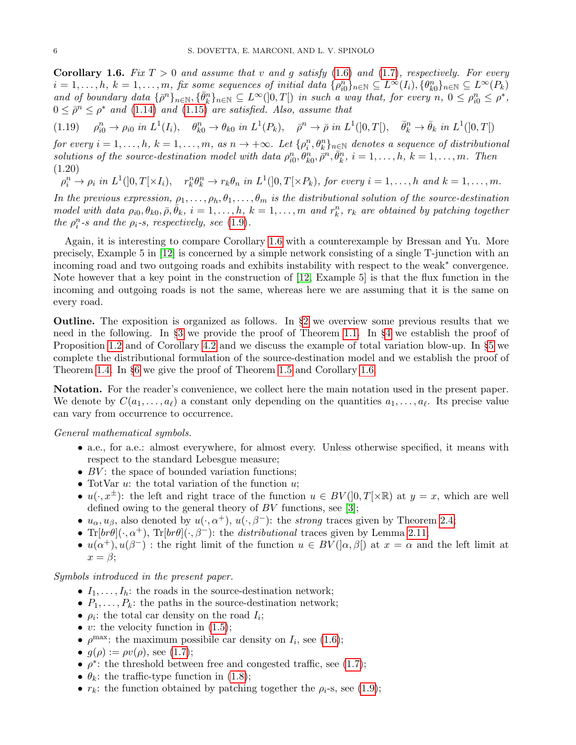<span id="page-5-0"></span>**Corollary 1.6.** Fix  $T > 0$  and assume that v and g satisfy [\(1.6\)](#page-2-5) and [\(1.7\)](#page-2-6), respectively. For every  $i = 1, \ldots, h, k = 1, \ldots, m$ , fix some sequences of initial data  $\{\rho_{i0}^n\}_{n \in \mathbb{N}} \subseteq L^{\infty}(I_i)$ ,  $\{\theta_{k0}^n\}_{n \in \mathbb{N}} \subseteq L^{\infty}(P_k)$ and of boundary data  $\{\bar{\rho}^n\}_{n\in\mathbb{N}}, \{\bar{\theta}_k^n\}_{n\in\mathbb{N}} \subseteq L^\infty(]0,T[)$  in such a way that, for every  $n, 0 \leq \rho_{i0}^n \leq \rho^*$ ,  $0 \leq \bar{\rho}^n \leq \rho^*$  and  $(1.14)$  and  $(1.15)$  are satisfied. Also, assume that

(1.19)  $\rho_{i0}^n \to \rho_{i0}$  in  $L^1(I_i)$ ,  $\theta_{k0}^n \to \theta_{k0}$  in  $L^1(P_k)$ ,  $\rho^n \to \bar{\rho}$  in  $L^1(]0,T[)$ ,  $\bar{\theta}_k^n \to \bar{\theta}_k$  in  $L^1(]0,T[)$ 

for every  $i=1,\ldots,h$ ,  $k=1,\ldots,m$ , as  $n\to+\infty$ . Let  $\{\rho_i^n,\theta_k^n\}_{n\in\mathbb{N}}$  denotes a sequence of distributional solutions of the source-destination model with data  $\rho_{i0}^n, \theta_{k0}^n, \overline{\rho}^n, \overline{\theta}_k^n, i = 1, \ldots, h, k = 1, \ldots, m$ . Then (1.20)

 $\rho_i^n \to \rho_i$  in  $L^1(]0,T[\times I_i), \quad r_k^n \theta_k^n \to r_k \theta_n$  in  $L^1(]0,T[\times P_k),$  for every  $i=1,\ldots,h$  and  $k=1,\ldots,m$ .

In the previous expression,  $\rho_1, \ldots, \rho_h, \theta_1, \ldots, \theta_m$  is the distributional solution of the source-destination model with data  $\rho_{i0}, \theta_{k0}, \bar{\rho}, \bar{\theta}_k$ ,  $i = 1, \ldots, h$ ,  $k = 1, \ldots, m$  and  $r_k^n$ ,  $r_k$  are obtained by patching together the  $\rho_i^n$ -s and the  $\rho_i$ -s, respectively, see [\(1.9\)](#page-2-3).

Again, it is interesting to compare Corollary [1.6](#page-5-0) with a counterexample by Bressan and Yu. More precisely, Example 5 in [\[12\]](#page-26-9) is concerned by a simple network consisting of a single T-junction with an incoming road and two outgoing roads and exhibits instability with respect to the weak<sup>∗</sup> convergence. Note however that a key point in the construction of [\[12,](#page-26-9) Example 5] is that the flux function in the incoming and outgoing roads is not the same, whereas here we are assuming that it is the same on every road.

**Outline.** The exposition is organized as follows. In  $\S2$  $\S2$  we overview some previous results that we need in the following. In §[3](#page-10-0) we provide the proof of Theorem [1.1.](#page-1-1) In §[4](#page-14-1) we establish the proof of Proposition [1.2](#page-1-2) and of Corollary [4.2](#page-15-0) and we discuss the example of total variation blow-up. In §[5](#page-19-2) we complete the distributional formulation of the source-destination model and we establish the proof of Theorem [1.4.](#page-4-2) In §[6](#page-23-0) we give the proof of Theorem [1.5](#page-4-0) and Corollary [1.6.](#page-5-0)

Notation. For the reader's convenience, we collect here the main notation used in the present paper. We denote by  $C(a_1, \ldots, a_\ell)$  a constant only depending on the quantities  $a_1, \ldots, a_\ell$ . Its precise value can vary from occurrence to occurrence.

### General mathematical symbols.

- a.e., for a.e.: almost everywhere, for almost every. Unless otherwise specified, it means with respect to the standard Lebesgue measure;
- $BV$ : the space of bounded variation functions;
- TotVar  $u$ : the total variation of the function  $u$ ;
- $u(\cdot, x^{\pm})$ : the left and right trace of the function  $u \in BV([0,T[\times \mathbb{R})$  at  $y = x$ , which are well defined owing to the general theory of  $BV$  functions, see [\[3\]](#page-26-4);
- $u_{\alpha}, u_{\beta}$ , also denoted by  $u(\cdot, \alpha^+), u(\cdot, \beta^-)$ : the *strong* traces given by Theorem [2.4;](#page-6-4)
- Tr $[br\theta](\cdot, \alpha^+)$ , Tr $[br\theta](\cdot, \beta^-)$ : the *distributional* traces given by Lemma [2.11;](#page-9-0)
- $u(\alpha^+), u(\beta^-)$ : the right limit of the function  $u \in BV(|\alpha, \beta|)$  at  $x = \alpha$  and the left limit at  $x = \beta$ ;

## Symbols introduced in the present paper.

- $I_1, \ldots, I_h$ : the roads in the source-destination network;
- $P_1, \ldots, P_k$ : the paths in the source-destination network;
- $\rho_i$ : the total car density on the road  $I_i$ ;
- v: the velocity function in  $(1.5)$ ;
- $\rho^{\max}$ : the maximum possibile car density on  $I_i$ , see [\(1.6\)](#page-2-5);
- $g(\rho) := \rho v(\rho)$ , see [\(1.7\)](#page-2-6);
- $\rho^*$ : the threshold between free and congested traffic, see [\(1.7\)](#page-2-6);
- $\theta_k$ : the traffic-type function in [\(1.8\)](#page-2-2);
- $r_k$ : the function obtained by patching together the  $\rho_i$ -s, see [\(1.9\)](#page-2-3);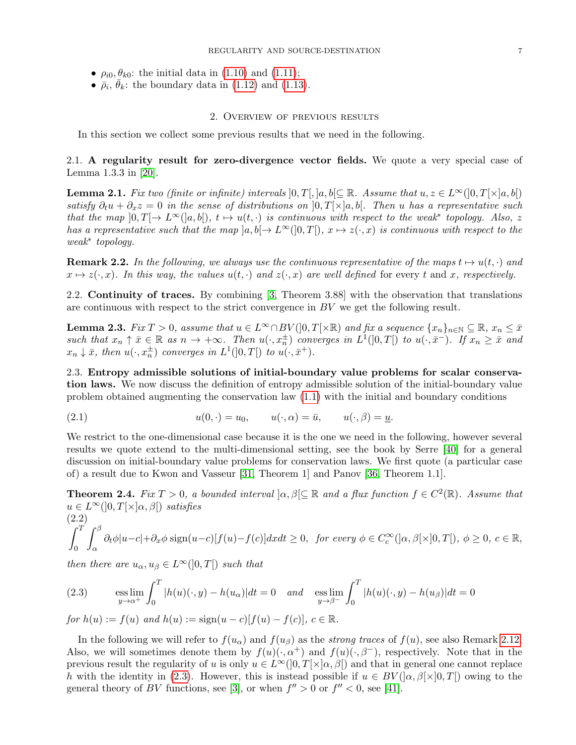- $\rho_{i0}, \theta_{k0}$ : the initial data in [\(1.10\)](#page-2-4) and [\(1.11\)](#page-3-5);
- $\bullet$   $\overline{\rho}_i$ ,  $\overline{\theta}_k$ : the boundary data in [\(1.12\)](#page-3-4) and [\(1.13\)](#page-3-6).

#### 2. Overview of previous results

<span id="page-6-3"></span>In this section we collect some previous results that we need in the following.

2.1. A regularity result for zero-divergence vector fields. We quote a very special case of Lemma 1.3.3 in [\[20\]](#page-27-2).

<span id="page-6-0"></span>**Lemma 2.1.** Fix two (finite or infinite) intervals  $[0, T[, ]a, b[ \subseteq \mathbb{R}$ . Assume that  $u, z \in L^{\infty}(]0, T[ \times ]a, b[)$ satisfy  $\partial_t u + \partial_x z = 0$  in the sense of distributions on  $[0, T] \times [a, b]$ . Then u has a representative such that the map  $[0, T] \to L^{\infty}([a, b]), t \mapsto u(t, \cdot)$  is continuous with respect to the weak\* topology. Also, z has a representative such that the map  $|a, b| \to L^{\infty}(0,T[), x \mapsto z(\cdot, x)$  is continuous with respect to the weak<sup>∗</sup> topology.

<span id="page-6-1"></span>**Remark 2.2.** In the following, we always use the continuous representative of the maps  $t \mapsto u(t, \cdot)$  and  $x \mapsto z(\cdot, x)$ . In this way, the values  $u(t, \cdot)$  and  $z(\cdot, x)$  are well defined for every t and x, respectively.

2.2. Continuity of traces. By combining [\[3,](#page-26-4) Theorem 3.88] with the observation that translations are continuous with respect to the strict convergence in  $BV$  we get the following result.

<span id="page-6-8"></span>**Lemma 2.3.** Fix  $T > 0$ , assume that  $u \in L^{\infty} \cap BV(]0, T[\times \mathbb{R})$  and fix a sequence  $\{x_n\}_{n \in \mathbb{N}} \subseteq \mathbb{R}$ ,  $x_n \leq \bar{x}$ such that  $x_n \uparrow \bar{x} \in \mathbb{R}$  as  $n \to +\infty$ . Then  $u(\cdot, x_n^{\pm})$  converges in  $L^1(]0,T[)$  to  $u(\cdot, \bar{x}^-)$ . If  $x_n \geq \bar{x}$  and  $x_n \downarrow \bar{x}$ , then  $u(\cdot, x_n^{\pm})$  converges in  $L^1(]0,T[)$  to  $u(\cdot, \bar{x}^+)$ .

<span id="page-6-2"></span>2.3. Entropy admissible solutions of initial-boundary value problems for scalar conservation laws. We now discuss the definition of entropy admissible solution of the initial-boundary value problem obtained augmenting the conservation law [\(1.1\)](#page-0-0) with the initial and boundary conditions

<span id="page-6-6"></span>(2.1) 
$$
u(0, \cdot) = u_0, \qquad u(\cdot, \alpha) = \bar{u}, \qquad u(\cdot, \beta) = \underline{u}.
$$

We restrict to the one-dimensional case because it is the one we need in the following, however several results we quote extend to the multi-dimensional setting, see the book by Serre [\[40\]](#page-27-14) for a general discussion on initial-boundary value problems for conservation laws. We first quote (a particular case of) a result due to Kwon and Vasseur [\[31,](#page-27-15) Theorem 1] and Panov [\[36,](#page-27-16) Theorem 1.1].

<span id="page-6-4"></span>**Theorem 2.4.** Fix  $T > 0$ , a bounded interval  $\vert \alpha, \beta \vert \subseteq \mathbb{R}$  and a flux function  $f \in C^2(\mathbb{R})$ . Assume that  $u \in L^{\infty}(]0,T[\times ]\alpha,\beta[)$  satisfies

<span id="page-6-7"></span>
$$
\int_0^T \int_\alpha^\beta \partial_t \phi |u-c| + \partial_x \phi \operatorname{sign}(u-c)[f(u)-f(c)] dx dt \ge 0, \text{ for every } \phi \in C_c^\infty([0,\beta[\times]0,T]), \phi \ge 0, c \in \mathbb{R},
$$

then there are  $u_{\alpha}, u_{\beta} \in L^{\infty}(]0,T[)$  such that

<span id="page-6-5"></span>(2.3) 
$$
\underset{y \to \alpha^{+}}{\mathrm{ess} \lim} \int_{0}^{T} |h(u)(\cdot, y) - h(u_{\alpha})| dt = 0 \quad \text{and} \quad \underset{y \to \beta^{-}}{\mathrm{ess} \lim} \int_{0}^{T} |h(u)(\cdot, y) - h(u_{\beta})| dt = 0
$$

 $for h(u) := f(u)$  and  $h(u) := sign(u - c)[f(u) - f(c)], c \in \mathbb{R}$ .

In the following we will refer to  $f(u_{\alpha})$  and  $f(u_{\beta})$  as the strong traces of  $f(u)$ , see also Remark [2.12.](#page-9-1) Also, we will sometimes denote them by  $f(u)(\cdot, \alpha^+)$  and  $f(u)(\cdot, \beta^-)$ , respectively. Note that in the previous result the regularity of u is only  $u \in L^{\infty}(]0,T[\times]a,\beta[)$  and that in general one cannot replace h with the identity in [\(2.3\)](#page-6-5). However, this is instead possible if  $u \in BV(|\alpha, \beta| \times ]0, T[)$  owing to the general theory of BV functions, see [\[3\]](#page-26-4), or when  $f'' > 0$  or  $f'' < 0$ , see [\[41\]](#page-27-17).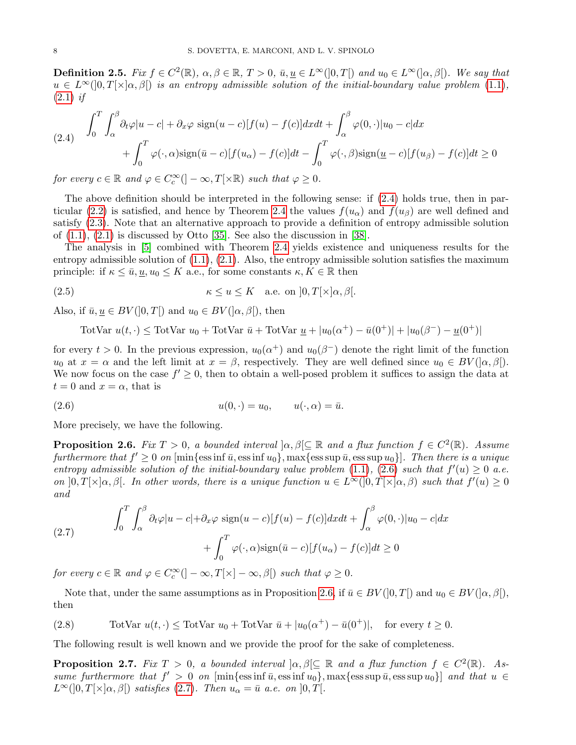<span id="page-7-5"></span>**Definition 2.5.** Fix  $f \in C^2(\mathbb{R})$ ,  $\alpha, \beta \in \mathbb{R}$ ,  $T > 0$ ,  $\bar{u}, \underline{u} \in L^{\infty}(]0,T[)$  and  $u_0 \in L^{\infty}(] \alpha, \beta[)$ . We say that  $u \in L^{\infty}(0,T[\times ]\alpha,\beta]$  is an entropy admissible solution of the initial-boundary value problem [\(1.1\)](#page-0-0),  $(2.1)$  if

<span id="page-7-0"></span>(2.4) 
$$
\int_0^T \int_\alpha^\beta \partial_t \varphi |u - c| + \partial_x \varphi \operatorname{sign}(u - c) [f(u) - f(c)] dx dt + \int_\alpha^\beta \varphi(0, \cdot) |u_0 - c| dx
$$

$$
+ \int_0^T \varphi(\cdot, \alpha) \operatorname{sign}(\bar{u} - c) [f(u_\alpha) - f(c)] dt - \int_0^T \varphi(\cdot, \beta) \operatorname{sign}(\underline{u} - c) [f(u_\beta) - f(c)] dt \ge 0
$$

for every  $c \in \mathbb{R}$  and  $\varphi \in C_c^{\infty}(\mathcal{C} - \infty, T[\times \mathbb{R})$  such that  $\varphi \geq 0$ .

The above definition should be interpreted in the following sense: if [\(2.4\)](#page-7-0) holds true, then in par-ticular [\(2.2\)](#page-6-7) is satisfied, and hence by Theorem [2.4](#page-6-4) the values  $f(u_{\alpha})$  and  $f(u_{\beta})$  are well defined and satisfy [\(2.3\)](#page-6-5). Note that an alternative approach to provide a definition of entropy admissible solution of  $(1.1)$ ,  $(2.1)$  is discussed by Otto [\[35\]](#page-27-18). See also the discussion in [\[38\]](#page-27-19).

The analysis in [\[5\]](#page-26-11) combined with Theorem [2.4](#page-6-4) yields existence and uniqueness results for the entropy admissible solution of  $(1.1)$ ,  $(2.1)$ . Also, the entropy admissible solution satisfies the maximum principle: if  $\kappa \leq \bar{u}, \underline{u}, u_0 \leq K$  a.e., for some constants  $\kappa, K \in \mathbb{R}$  then

(2.5) 
$$
\kappa \le u \le K \quad \text{a.e. on } ]0,T[\times]\alpha,\beta[.
$$

Also, if  $\bar{u}, \underline{u} \in BV([0, T])$  and  $u_0 \in BV([\alpha, \beta]),$  then

<span id="page-7-7"></span><span id="page-7-1"></span>TotVar 
$$
u(t, \cdot) \leq \text{TotVar } u_0 + \text{TotVar } \overline{u} + \text{TotVar } \underline{u} + |u_0(\alpha^+) - \overline{u}(0^+) + |u_0(\beta^-) - \underline{u}(0^+)|
$$

for every  $t > 0$ . In the previous expression,  $u_0(\alpha^+)$  and  $u_0(\beta^-)$  denote the right limit of the function  $u_0$  at  $x = \alpha$  and the left limit at  $x = \beta$ , respectively. They are well defined since  $u_0 \in BV([\alpha, \beta])$ . We now focus on the case  $f' \geq 0$ , then to obtain a well-posed problem it suffices to assign the data at  $t = 0$  and  $x = \alpha$ , that is

$$
(2.6) \t\t u(0, \cdot) = u_0, \t u(\cdot, \alpha) = \bar{u}.
$$

More precisely, we have the following.

<span id="page-7-2"></span>**Proposition 2.6.** Fix  $T > 0$ , a bounded interval  $\alpha, \beta \subseteq \mathbb{R}$  and a flux function  $f \in C^2(\mathbb{R})$ . Assume furthermore that  $f' \geq 0$  on  $[\min\{\text{ess}\inf \bar{u}, \text{ess}\inf u_0\}]$ ,  $\max\{\text{ess}\sup \bar{u}, \text{ess}\sup u_0\}]$ . Then there is a unique entropy admissible solution of the initial-boundary value problem [\(1.1\)](#page-0-0), [\(2.6\)](#page-7-1) such that  $f'(u) \geq 0$  a.e. on  $[0,T[\times]_\alpha,\beta]$ . In other words, there is a unique function  $u \in L^\infty([0,T[\times]_\alpha,\beta)$  such that  $f'(u) \geq 0$ and

<span id="page-7-3"></span>(2.7) 
$$
\int_0^T \int_\alpha^\beta \partial_t \varphi |u - c| + \partial_x \varphi \operatorname{sign}(u - c) [f(u) - f(c)] dx dt + \int_\alpha^\beta \varphi(0, \cdot) |u_0 - c| dx + \int_0^T \varphi(\cdot, \alpha) \operatorname{sign}(\bar{u} - c) [f(u_\alpha) - f(c)] dt \ge 0
$$

for every  $c \in \mathbb{R}$  and  $\varphi \in C_c^{\infty}(\mathcal{C} - \infty, T[\times] - \infty, \beta[\mathcal{C} - \mathcal{C}$  such that  $\varphi \geq 0$ .

Note that, under the same assumptions as in Proposition [2.6,](#page-7-2) if  $\bar{u} \in BV(0,T[)$  and  $u_0 \in BV([\alpha,\beta])$ , then

<span id="page-7-6"></span>(2.8) TotVar 
$$
u(t, \cdot) \leq \text{TotVar } u_0 + \text{TotVar } \bar{u} + |u_0(\alpha^+) - \bar{u}(0^+)|
$$
, for every  $t \geq 0$ .

The following result is well known and we provide the proof for the sake of completeness.

<span id="page-7-4"></span>**Proposition 2.7.** Fix  $T > 0$ , a bounded interval  $\alpha, \beta \subseteq \mathbb{R}$  and a flux function  $f \in C^2(\mathbb{R})$ . Assume furthermore that  $f' > 0$  on  $[\min{\{\text{ess}\inf u_0\}}, \max{\{\text{ess}\sup u_0\}}]$  and that  $u \in$  $L^{\infty}(]0,T[\times] \alpha,\beta[$  satisfies [\(2.7\)](#page-7-3). Then  $u_{\alpha} = \bar{u}$  a.e. on  $[0,T[$ .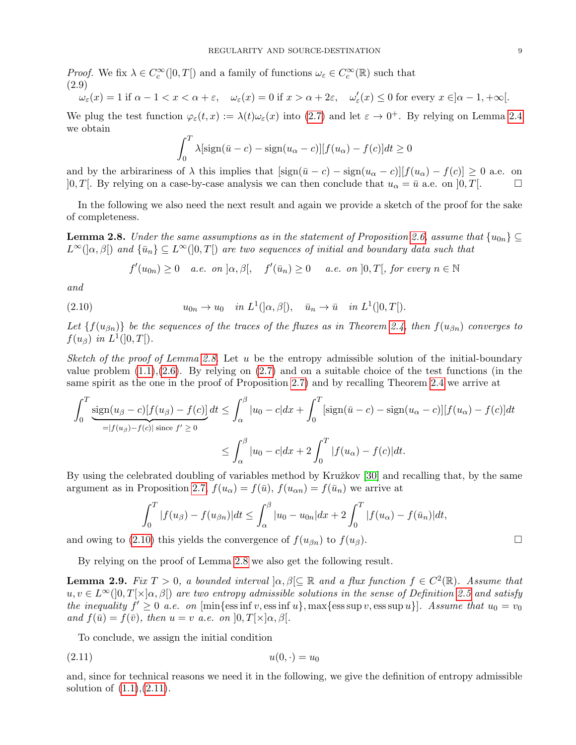Proof. We fix  $\lambda \in C_c^{\infty}(]0,T[)$  and a family of functions  $\omega_{\varepsilon} \in C_c^{\infty}(\mathbb{R})$  such that (2.9)

<span id="page-8-3"></span>
$$
\omega_{\varepsilon}(x) = 1 \text{ if } \alpha - 1 < x < \alpha + \varepsilon, \quad \omega_{\varepsilon}(x) = 0 \text{ if } x > \alpha + 2\varepsilon, \quad \omega_{\varepsilon}'(x) \le 0 \text{ for every } x \in ]\alpha - 1, +\infty[.
$$

We plug the test function  $\varphi_{\varepsilon}(t,x) := \lambda(t)\omega_{\varepsilon}(x)$  into  $(2.7)$  and let  $\varepsilon \to 0^+$ . By relying on Lemma [2.4](#page-6-4) we obtain

$$
\int_0^T \lambda[\text{sign}(\bar{u}-c) - \text{sign}(u_\alpha - c)][f(u_\alpha) - f(c)]dt \ge 0
$$

and by the arbirariness of  $\lambda$  this implies that  $[\text{sign}(\bar{u}-c) - \text{sign}(u_{\alpha}-c)][f(u_{\alpha}) - f(c)] \geq 0$  a.e. on  $]0, T[. \text{ By relying on a case-by-case analysis we can then conclude that } u_{\alpha} = \bar{u} \text{ a.e. on } ]0, T[. \Box$ 

In the following we also need the next result and again we provide a sketch of the proof for the sake of completeness.

<span id="page-8-0"></span>**Lemma 2.8.** Under the same assumptions as in the statement of Proposition [2.6,](#page-7-2) assume that  $\{u_{0n}\}\subseteq$  $L^{\infty}(|\alpha,\beta|)$  and  $\{\bar{u}_n\}\subseteq L^{\infty}(0,T]$  are two sequences of initial and boundary data such that

<span id="page-8-1"></span>
$$
f'(u_{0n}) \ge 0
$$
 a.e. on  $[\alpha, \beta]$ ,  $f'(\bar{u}_n) \ge 0$  a.e. on  $[0, T]$ , for every  $n \in \mathbb{N}$ 

and

(2.10) 
$$
u_{0n} \to u_0 \quad in \ L^1(|\alpha, \beta|), \quad \bar{u}_n \to \bar{u} \quad in \ L^1([0, T]).
$$

Let  $\{f(u_{\beta n})\}$  be the sequences of the traces of the fluxes as in Theorem [2.4,](#page-6-4) then  $f(u_{\beta n})$  converges to  $f(u_{\beta})$  in  $L^1(]0,T[).$ 

Sketch of the proof of Lemma [2.8.](#page-8-0) Let u be the entropy admissible solution of the initial-boundary value problem  $(1.1),(2.6)$  $(1.1),(2.6)$  $(1.1),(2.6)$ . By relying on  $(2.7)$  and on a suitable choice of the test functions (in the same spirit as the one in the proof of Proposition [2.7\)](#page-7-4) and by recalling Theorem [2.4](#page-6-4) we arrive at

$$
\int_0^T \underbrace{\text{sign}(u_\beta - c)[f(u_\beta) - f(c)]}_{= |f(u_\beta) - f(c)| \text{ since } f' \ge 0} dt \le \int_\alpha^\beta |u_0 - c| dx + \int_0^T [\text{sign}(\bar{u} - c) - \text{sign}(u_\alpha - c)][f(u_\alpha) - f(c)] dt
$$
  

$$
\le \int_\alpha^\beta |u_0 - c| dx + 2 \int_0^T |f(u_\alpha) - f(c)| dt.
$$

By using the celebrated doubling of variables method by Kružkov [\[30\]](#page-27-0) and recalling that, by the same argument as in Proposition [2.7,](#page-7-4)  $f(u_{\alpha}) = f(\bar{u}), f(u_{\alpha n}) = f(\bar{u}_n)$  we arrive at

$$
\int_0^T |f(u_{\beta}) - f(u_{\beta n})| dt \le \int_{\alpha}^{\beta} |u_0 - u_{0n}| dx + 2 \int_0^T |f(u_{\alpha}) - f(\bar{u}_n)| dt,
$$

and owing to [\(2.10\)](#page-8-1) this yields the convergence of  $f(u_{\beta n})$  to  $f(u_{\beta})$ .

By relying on the proof of Lemma [2.8](#page-8-0) we also get the following result.

<span id="page-8-4"></span>**Lemma 2.9.** Fix  $T > 0$ , a bounded interval  $\alpha, \beta \subseteq \mathbb{R}$  and a flux function  $f \in C^2(\mathbb{R})$ . Assume that  $u, v \in L^{\infty}(0,T[\times]_{\alpha,\beta})$  are two entropy admissible solutions in the sense of Definition [2.5](#page-7-5) and satisfy the inequality  $f' \geq 0$  a.e. on [min{ess inf v, ess inf u}, max{ess sup v, ess sup u}]. Assume that  $u_0 = v_0$ and  $f(\bar{u}) = f(\bar{v})$ , then  $u = v$  a.e. on  $[0, T[\times] \alpha, \beta]$ .

<span id="page-8-2"></span>To conclude, we assign the initial condition

$$
(2.11) \t\t u(0, \cdot) = u_0
$$

and, since for technical reasons we need it in the following, we give the definition of entropy admissible solution of  $(1.1), (2.11)$  $(1.1), (2.11)$  $(1.1), (2.11)$ .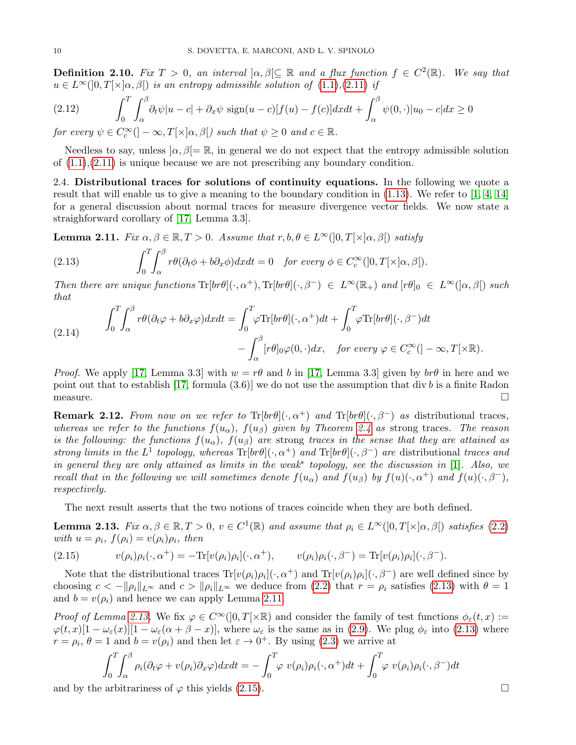**Definition 2.10.** Fix  $T > 0$ , an interval  $\alpha, \beta \subseteq \mathbb{R}$  and a flux function  $f \in C^2(\mathbb{R})$ . We say that  $u \in L^{\infty}(0,T[\times]_{\alpha,\beta})$  is an entropy admissible solution of  $(1.1),(2.11)$  $(1.1),(2.11)$  $(1.1),(2.11)$  if

(2.12) 
$$
\int_0^T \int_\alpha^\beta \partial_t \psi |u - c| + \partial_x \psi \operatorname{sign}(u - c) [f(u) - f(c)] dx dt + \int_\alpha^\beta \psi(0, \cdot) |u_0 - c| dx \ge 0
$$

for every  $\psi \in C_c^{\infty}([-\infty,T[\times ]\alpha,\beta[)$  such that  $\psi \geq 0$  and  $c \in \mathbb{R}$ .

Needless to say, unless  $[\alpha, \beta] = \mathbb{R}$ , in general we do not expect that the entropy admissible solution of  $(1.1), (2.11)$  $(1.1), (2.11)$  $(1.1), (2.11)$  is unique because we are not prescribing any boundary condition.

2.4. Distributional traces for solutions of continuity equations. In the following we quote a result that will enable us to give a meaning to the boundary condition in [\(1.13\)](#page-3-6). We refer to [\[1,](#page-26-13) [4,](#page-26-14) [14\]](#page-26-15) for a general discussion about normal traces for measure divergence vector fields. We now state a straighforward corollary of [\[17,](#page-26-12) Lemma 3.3].

<span id="page-9-0"></span>**Lemma 2.11.** Fix  $\alpha, \beta \in \mathbb{R}, T > 0$ . Assume that  $r, b, \theta \in L^{\infty}(]0, T[\times] \alpha, \beta[)$  satisfy

<span id="page-9-2"></span>(2.13) 
$$
\int_0^T \int_\alpha^\beta r \theta (\partial_t \phi + b \partial_x \phi) dx dt = 0 \text{ for every } \phi \in C_c^\infty([0, T[ \times ] \alpha, \beta]).
$$

Then there are unique functions  $\text{Tr}[br\theta](\cdot,\alpha^+), \text{Tr}[br\theta](\cdot,\beta^-) \in L^{\infty}(\mathbb{R}_+)$  and  $[r\theta]_0 \in L^{\infty}([\alpha,\beta])$  such that

<span id="page-9-5"></span>(2.14) 
$$
\int_0^T \int_\alpha^\beta r \theta (\partial_t \varphi + b \partial_x \varphi) dx dt = \int_0^T \varphi \text{Tr}[b r \theta] (\cdot, \alpha^+) dt + \int_0^T \varphi \text{Tr}[b r \theta] (\cdot, \beta^-) dt - \int_\alpha^\beta [r \theta]_0 \varphi(0, \cdot) dx, \text{ for every } \varphi \in C_c^\infty([-\infty, T[\times \mathbb{R}).
$$

*Proof.* We apply [\[17,](#page-26-12) Lemma 3.3] with  $w = r\theta$  and b in [17, Lemma 3.3] given by  $b r\theta$  in here and we point out that to establish [\[17,](#page-26-12) formula  $(3.6)$ ] we do not use the assumption that div b is a finite Radon  $\Box$  measure.  $\Box$ 

<span id="page-9-1"></span>**Remark 2.12.** From now on we refer to  $Tr[br\theta](\cdot, \alpha^+)$  and  $Tr[br\theta](\cdot, \beta^-)$  as distributional traces, whereas we refer to the functions  $f(u_{\alpha})$ ,  $f(u_{\beta})$  given by Theorem [2.4](#page-6-4) as strong traces. The reason is the following: the functions  $f(u_{\alpha})$ ,  $f(u_{\beta})$  are strong traces in the sense that they are attained as strong limits in the L<sup>1</sup> topology, whereas  $\text{Tr}[br\theta](\cdot,\alpha^+)$  and  $\text{Tr}[br\theta](\cdot,\beta^-)$  are distributional traces and in general they are only attained as limits in the weak<sup>∗</sup> topology, see the discussion in [\[1\]](#page-26-13). Also, we recall that in the following we will sometimes denote  $f(u_\alpha)$  and  $f(u_\beta)$  by  $f(u)(\cdot, \alpha^+)$  and  $f(u)(\cdot, \beta^-)$ , respectively.

The next result asserts that the two notions of traces coincide when they are both defined.

<span id="page-9-3"></span>**Lemma 2.13.** Fix  $\alpha, \beta \in \mathbb{R}, T > 0$ ,  $v \in C^1(\mathbb{R})$  and assume that  $\rho_i \in L^{\infty}(]0, T[\times] \alpha, \beta[)$  satisfies [\(2.2\)](#page-6-7) with  $u = \rho_i$ ,  $f(\rho_i) = v(\rho_i)\rho_i$ , then

<span id="page-9-4"></span>(2.15) 
$$
v(\rho_i)\rho_i(\cdot,\alpha^+) = -\text{Tr}[v(\rho_i)\rho_i](\cdot,\alpha^+), \qquad v(\rho_i)\rho_i(\cdot,\beta^-) = \text{Tr}[v(\rho_i)\rho_i](\cdot,\beta^-).
$$

Note that the distributional traces  $\text{Tr}[v(\rho_i)\rho_i](\cdot, \alpha^+)$  and  $\text{Tr}[v(\rho_i)\rho_i](\cdot, \beta^-)$  are well defined since by choosing  $c < -\|\rho_i\|_{L^\infty}$  and  $c > \|\rho_i\|_{L^\infty}$  we deduce from [\(2.2\)](#page-6-7) that  $r = \rho_i$  satisfies [\(2.13\)](#page-9-2) with  $\theta = 1$ and  $b = v(\rho_i)$  and hence we can apply Lemma [2.11.](#page-9-0)

Proof of Lemma [2.13.](#page-9-3) We fix  $\varphi \in C^{\infty}(0,T[\times \mathbb{R})$  and consider the family of test functions  $\phi_{\varepsilon}(t,x) :=$  $\varphi(t,x)[1-\omega_{\varepsilon}(x)][1-\omega_{\varepsilon}(\alpha+\beta-x)],$  where  $\omega_{\varepsilon}$  is the same as in [\(2.9\)](#page-8-3). We plug  $\phi_{\varepsilon}$  into [\(2.13\)](#page-9-2) where  $r = \rho_i$ ,  $\theta = 1$  and  $b = v(\rho_i)$  and then let  $\varepsilon \to 0^+$ . By using [\(2.3\)](#page-6-5) we arrive at

$$
\int_0^T \int_\alpha^\beta \rho_i(\partial_t \varphi + v(\rho_i)\partial_x \varphi) dx dt = -\int_0^T \varphi \ v(\rho_i)\rho_i(\cdot, \alpha^+) dt + \int_0^T \varphi \ v(\rho_i)\rho_i(\cdot, \beta^-) dt
$$

and by the arbitrariness of  $\varphi$  this yields [\(2.15\)](#page-9-4).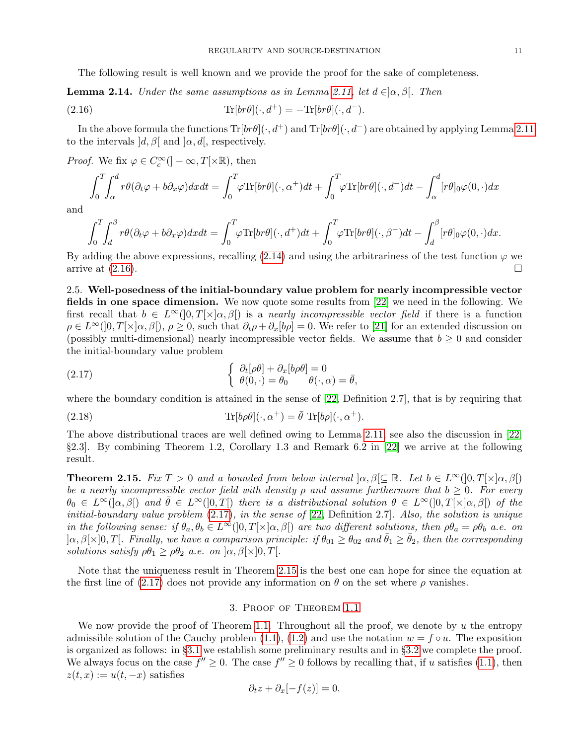<span id="page-10-1"></span>The following result is well known and we provide the proof for the sake of completeness.

**Lemma 2.14.** Under the same assumptions as in Lemma [2.11,](#page-9-0) let  $d \in ]\alpha, \beta[$ . Then

(2.16) 
$$
\text{Tr}[br\theta](\cdot, d^+) = -\text{Tr}[br\theta](\cdot, d^-).
$$

In the above formula the functions  $\text{Tr}[br\theta](\cdot, d^+)$  and  $\text{Tr}[br\theta](\cdot, d^-)$  are obtained by applying Lemma [2.11](#page-9-0) to the intervals  $d, \beta$ [ and  $\alpha, d$ ], respectively.

*Proof.* We fix  $\varphi \in C_c^{\infty}([-\infty, T[\times \mathbb{R}), \text{ then})$ 

$$
\int_0^T \int_\alpha^d r \theta (\partial_t \varphi + b \partial_x \varphi) dx dt = \int_0^T \varphi \text{Tr}[b r \theta] (\cdot, \alpha^+) dt + \int_0^T \varphi \text{Tr}[b r \theta] (\cdot, d^-) dt - \int_\alpha^d [r \theta]_0 \varphi(0, \cdot) dx
$$

and

$$
\int_0^T \int_d^\beta r \theta (\partial_t \varphi + b \partial_x \varphi) dx dt = \int_0^T \varphi \text{Tr}[b r \theta] (\cdot, d^+) dt + \int_0^T \varphi \text{Tr}[b r \theta] (\cdot, \beta^-) dt - \int_d^\beta [r \theta]_0 \varphi(0, \cdot) dx.
$$

By adding the above expressions, recalling [\(2.14\)](#page-9-5) and using the arbitrariness of the test function  $\varphi$  we arrive at  $(2.16)$ .

2.5. Well-posedness of the initial-boundary value problem for nearly incompressible vector fields in one space dimension. We now quote some results from [\[22\]](#page-27-12) we need in the following. We first recall that  $b \in L^{\infty}(0,T[\times ]\alpha,\beta])$  is a nearly incompressible vector field if there is a function  $\rho \in L^{\infty}(0,T[\times]_{\alpha,\beta}), \rho \geq 0$ , such that  $\partial_t \rho + \partial_x[b\rho] = 0$ . We refer to [\[21\]](#page-27-20) for an extended discussion on (possibly multi-dimensional) nearly incompressible vector fields. We assume that  $b \geq 0$  and consider the initial-boundary value problem

<span id="page-10-2"></span>(2.17) 
$$
\begin{cases} \partial_t[\rho\theta] + \partial_x[b\rho\theta] = 0\\ \theta(0, \cdot) = \theta_0 \end{cases} \quad \theta(\cdot, \alpha) = \bar{\theta},
$$

where the boundary condition is attained in the sense of [\[22,](#page-27-12) Definition 2.7], that is by requiring that

<span id="page-10-4"></span>(2.18) 
$$
\text{Tr}[b\rho\theta](\cdot,\alpha^+) = \bar{\theta} \text{ Tr}[b\rho](\cdot,\alpha^+).
$$

The above distributional traces are well defined owing to Lemma [2.11,](#page-9-0) see also the discussion in [\[22,](#page-27-12) §2.3]. By combining Theorem 1.2, Corollary 1.3 and Remark 6.2 in [\[22\]](#page-27-12) we arrive at the following result.

<span id="page-10-3"></span>**Theorem 2.15.** Fix  $T > 0$  and a bounded from below interval  $\alpha, \beta \in \mathbb{R}$ . Let  $b \in L^{\infty}(0,T \times |\alpha,\beta|)$ be a nearly incompressible vector field with density  $\rho$  and assume furthermore that  $b \geq 0$ . For every  $\theta_0 \in L^{\infty}(|\alpha,\beta|)$  and  $\bar{\theta} \in L^{\infty}(|0,T|)$  there is a distributional solution  $\theta \in L^{\infty}(|0,T|\times |\alpha,\beta|)$  of the initial-boundary value problem  $(2.17)$ , in the sense of  $[22,$  Definition 2.7]. Also, the solution is unique in the following sense: if  $\theta_a, \theta_b \in L^{\infty}(]0, T[\times] \alpha, \beta[)$  are two different solutions, then  $\rho \theta_a = \rho \theta_b$  a.e. on  $\alpha, \beta[\times]0, T[$ . Finally, we have a comparison principle: if  $\theta_{01} \ge \theta_{02}$  and  $\bar{\theta}_1 \ge \bar{\theta}_2$ , then the corresponding solutions satisfy  $\rho \theta_1 \geq \rho \theta_2$  a.e. on  $\alpha, \beta \times ]0, T[$ .

Note that the uniqueness result in Theorem [2.15](#page-10-3) is the best one can hope for since the equation at the first line of [\(2.17\)](#page-10-2) does not provide any information on  $\theta$  on the set where  $\rho$  vanishes.

### 3. Proof of Theorem [1.1](#page-1-1)

<span id="page-10-0"></span>We now provide the proof of Theorem [1.1.](#page-1-1) Throughout all the proof, we denote by  $u$  the entropy admissible solution of the Cauchy problem [\(1.1\)](#page-0-0), [\(1.2\)](#page-0-1) and use the notation  $w = f \circ u$ . The exposition is organized as follows: in §[3.1](#page-11-0) we establish some preliminary results and in §[3.2](#page-13-0) we complete the proof. We always focus on the case  $f'' \geq 0$ . The case  $f'' \geq 0$  follows by recalling that, if u satisfies [\(1.1\)](#page-0-0), then  $z(t, x) := u(t, -x)$  satisfies

$$
\partial_t z + \partial_x [-f(z)] = 0.
$$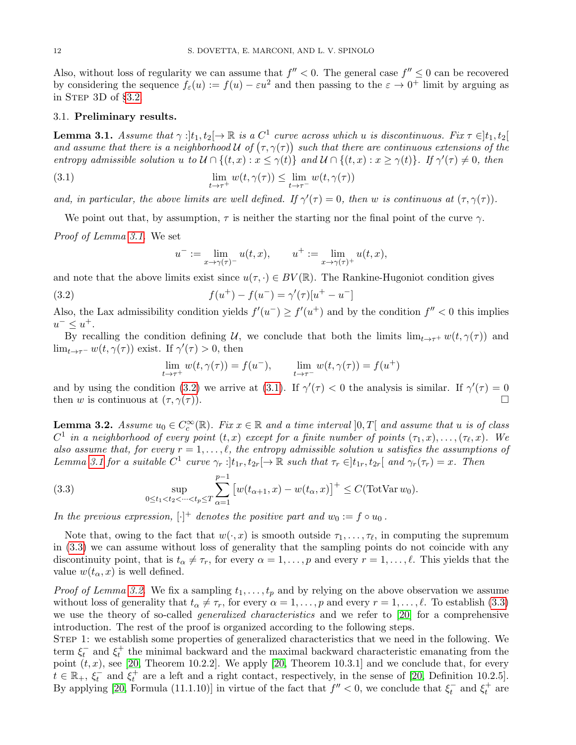Also, without loss of regularity we can assume that  $f'' < 0$ . The general case  $f'' \leq 0$  can be recovered by considering the sequence  $f_{\varepsilon}(u) := f(u) - \varepsilon u^2$  and then passing to the  $\varepsilon \to 0^+$  limit by arguing as in STEP  $3D$  of  $\S3.2$ .

### <span id="page-11-0"></span>3.1. Preliminary results.

<span id="page-11-1"></span>**Lemma 3.1.** Assume that  $\gamma :]t_1, t_2[\rightarrow \mathbb{R}$  is a  $C^1$  curve across which u is discontinuous. Fix  $\tau \in ]t_1, t_2[$ and assume that there is a neighborhood U of  $(\tau, \gamma(\tau))$  such that there are continuous extensions of the entropy admissible solution u to  $\mathcal{U} \cap \{(t,x): x \leq \gamma(t)\}\$ and  $\mathcal{U} \cap \{(t,x): x \geq \gamma(t)\}\$ . If  $\gamma'(\tau) \neq 0$ , then

(3.1) 
$$
\lim_{t \to \tau^+} w(t, \gamma(\tau)) \leq \lim_{t \to \tau^-} w(t, \gamma(\tau))
$$

and, in particular, the above limits are well defined. If  $\gamma'(\tau) = 0$ , then w is continuous at  $(\tau, \gamma(\tau))$ .

We point out that, by assumption,  $\tau$  is neither the starting nor the final point of the curve  $\gamma$ .

Proof of Lemma [3.1.](#page-11-1) We set

<span id="page-11-3"></span><span id="page-11-2"></span>
$$
u^- := \lim_{x \to \gamma(\tau)^-} u(t, x), \qquad u^+ := \lim_{x \to \gamma(\tau)^+} u(t, x),
$$

and note that the above limits exist since  $u(\tau, \cdot) \in BV(\mathbb{R})$ . The Rankine-Hugoniot condition gives

(3.2) 
$$
f(u^{+}) - f(u^{-}) = \gamma'(\tau)[u^{+} - u^{-}]
$$

Also, the Lax admissibility condition yields  $f'(u^-) \ge f'(u^+)$  and by the condition  $f'' < 0$  this implies  $u^{-} \leq u^{+}.$ 

By recalling the condition defining U, we conclude that both the limits  $\lim_{t\to\tau^+} w(t,\gamma(\tau))$  and  $\lim_{t\to\tau^-} w(t,\gamma(\tau))$  exist. If  $\gamma'(\tau) > 0$ , then

$$
\lim_{t \to \tau^+} w(t, \gamma(\tau)) = f(u^-), \qquad \lim_{t \to \tau^-} w(t, \gamma(\tau)) = f(u^+)
$$

and by using the condition [\(3.2\)](#page-11-2) we arrive at [\(3.1\)](#page-11-3). If  $\gamma'(\tau) < 0$  the analysis is similar. If  $\gamma'(\tau) = 0$ then w is continuous at  $(\tau, \gamma(\tau))$ .

<span id="page-11-5"></span>**Lemma 3.2.** Assume  $u_0 \in C_c^{\infty}(\mathbb{R})$ . Fix  $x \in \mathbb{R}$  and a time interval  $]0,T[$  and assume that u is of class  $C^1$  in a neighborhood of every point  $(t, x)$  except for a finite number of points  $(\tau_1, x), \ldots, (\tau_\ell, x)$ . We also assume that, for every  $r = 1, \ldots, \ell$ , the entropy admissible solution u satisfies the assumptions of Lemma [3.1](#page-11-1) for a suitable  $C^1$  curve  $\gamma_r :]t_{1r}, t_{2r}[\rightarrow \mathbb{R}$  such that  $\tau_r \in ]t_{1r}, t_{2r}[$  and  $\gamma_r(\tau_r) = x$ . Then

<span id="page-11-4"></span>(3.3) 
$$
\sup_{0 \le t_1 < t_2 < \dots < t_p \le T} \sum_{\alpha=1}^{p-1} \left[ w(t_{\alpha+1}, x) - w(t_{\alpha}, x) \right]^+ \le C(\text{TotVar } w_0).
$$

In the previous expression,  $[\cdot]^+$  denotes the positive part and  $w_0 := f \circ u_0$ .

Note that, owing to the fact that  $w(\cdot, x)$  is smooth outside  $\tau_1, \ldots, \tau_\ell$ , in computing the supremum in [\(3.3\)](#page-11-4) we can assume without loss of generality that the sampling points do not coincide with any discontinuity point, that is  $t_{\alpha} \neq \tau_r$ , for every  $\alpha = 1, \ldots, p$  and every  $r = 1, \ldots, \ell$ . This yields that the value  $w(t_{\alpha}, x)$  is well defined.

*Proof of Lemma [3.2.](#page-11-5)* We fix a sampling  $t_1, \ldots, t_p$  and by relying on the above observation we assume without loss of generality that  $t_{\alpha} \neq \tau_r$ , for every  $\alpha = 1, \ldots, p$  and every  $r = 1, \ldots, \ell$ . To establish [\(3.3\)](#page-11-4) we use the theory of so-called *generalized characteristics* and we refer to [\[20\]](#page-27-2) for a comprehensive introduction. The rest of the proof is organized according to the following steps.

Step 1: we establish some properties of generalized characteristics that we need in the following. We term  $\xi_t^-$  and  $\xi_t^+$  the minimal backward and the maximal backward characteristic emanating from the point  $(t, x)$ , see [\[20,](#page-27-2) Theorem 10.2.2]. We apply [20, Theorem 10.3.1] and we conclude that, for every  $t \in \mathbb{R}_+$ ,  $\xi_t^-$  and  $\xi_t^+$  are a left and a right contact, respectively, in the sense of [\[20,](#page-27-2) Definition 10.2.5]. By applying [\[20,](#page-27-2) Formula (11.1.10)] in virtue of the fact that  $f'' < 0$ , we conclude that  $\xi_t^-$  and  $\xi_t^+$  are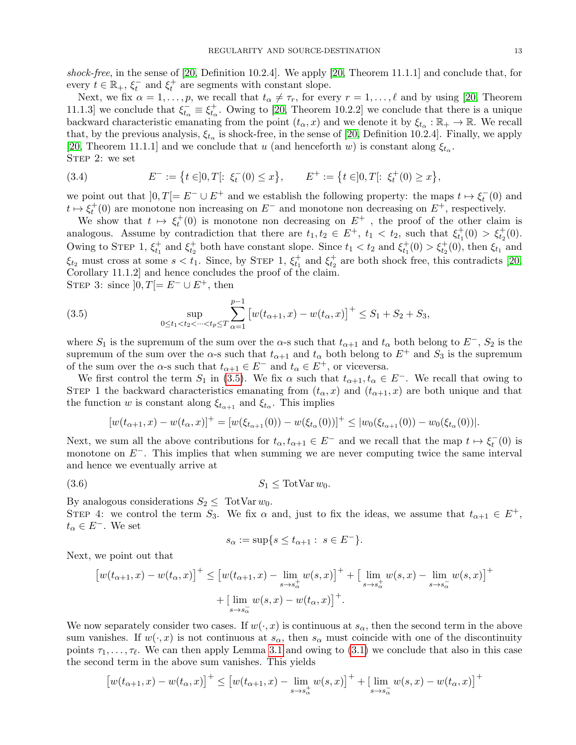shock-free, in the sense of [\[20,](#page-27-2) Definition 10.2.4]. We apply [\[20,](#page-27-2) Theorem 11.1.1] and conclude that, for every  $t \in \mathbb{R}_+$ ,  $\xi_t^-$  and  $\xi_t^+$  are segments with constant slope.

Next, we fix  $\alpha = 1, \ldots, p$ , we recall that  $t_{\alpha} \neq \tau_r$ , for every  $r = 1, \ldots, \ell$  and by using [\[20,](#page-27-2) Theorem 11.1.3] we conclude that  $\xi_{t_{\alpha}}^{\dagger} \equiv \xi_{t_{\alpha}}^{\dagger}$ . Owing to [\[20,](#page-27-2) Theorem 10.2.2] we conclude that there is a unique backward characteristic emanating from the point  $(t_{\alpha}, x)$  and we denote it by  $\xi_{t_{\alpha}} : \mathbb{R}_+ \to \mathbb{R}$ . We recall that, by the previous analysis,  $\xi_{t_{\alpha}}$  is shock-free, in the sense of [\[20,](#page-27-2) Definition 10.2.4]. Finally, we apply [\[20,](#page-27-2) Theorem 11.1.1] and we conclude that u (and henceforth w) is constant along  $\xi_{t_{\alpha}}$ . STEP 2: we set

(3.4) 
$$
E^- := \{ t \in ]0,T[ : \xi^-_t(0) \le x \}, \qquad E^+ := \{ t \in ]0,T[ : \xi^+_t(0) \ge x \},
$$

we point out that  $]0,T[=E^- \cup E^+$  and we establish the following property: the maps  $t \mapsto \xi_t^-(0)$  and  $t \mapsto \xi_t^+(0)$  are monotone non increasing on  $E^-$  and monotone non decreasing on  $E^+$ , respectively.

We show that  $t \mapsto \xi_t^+(0)$  is monotone non decreasing on  $E^+$ , the proof of the other claim is analogous. Assume by contradiction that there are  $t_1, t_2 \in E^+$ ,  $t_1 < t_2$ , such that  $\xi_{t_1}^+(0) > \xi_{t_2}^+(0)$ . Owing to STEP 1,  $\xi_{t_1}^+$  and  $\xi_{t_2}^+$  both have constant slope. Since  $t_1 < t_2$  and  $\xi_{t_1}^+(0) > \xi_{t_2}^+(0)$ , then  $\xi_{t_1}$  and  $\xi_{t_2}$  must cross at some  $s < t_1$ . Since, by STEP 1,  $\xi_{t_1}^+$  and  $\xi_{t_2}^+$  are both shock free, this contradicts [\[20,](#page-27-2) Corollary 11.1.2] and hence concludes the proof of the claim. STEP 3: since  $[0, T[= E^- \cup E^+, \text{ then}$ 

<span id="page-12-0"></span>(3.5) 
$$
\sup_{0 \le t_1 < t_2 < \dots < t_p \le T} \sum_{\alpha=1}^{p-1} \left[ w(t_{\alpha+1}, x) - w(t_{\alpha}, x) \right]^+ \le S_1 + S_2 + S_3,
$$

where  $S_1$  is the supremum of the sum over the  $\alpha$ -s such that  $t_{\alpha+1}$  and  $t_{\alpha}$  both belong to  $E^-$ ,  $S_2$  is the supremum of the sum over the  $\alpha$ -s such that  $t_{\alpha+1}$  and  $t_{\alpha}$  both belong to  $E^+$  and  $S_3$  is the supremum of the sum over the  $\alpha$ -s such that  $t_{\alpha+1} \in E^-$  and  $t_{\alpha} \in E^+$ , or viceversa.

We first control the term  $S_1$  in [\(3.5\)](#page-12-0). We fix  $\alpha$  such that  $t_{\alpha+1}, t_{\alpha} \in E^-$ . We recall that owing to STEP 1 the backward characteristics emanating from  $(t_{\alpha}, x)$  and  $(t_{\alpha+1}, x)$  are both unique and that the function w is constant along  $\xi_{t_{\alpha+1}}$  and  $\xi_{t_{\alpha}}$ . This implies

$$
[w(t_{\alpha+1},x)-w(t_{\alpha},x)]^{+}=[w(\xi_{t_{\alpha+1}}(0))-w(\xi_{t_{\alpha}}(0))]^{+} \leq |w_{0}(\xi_{t_{\alpha+1}}(0))-w_{0}(\xi_{t_{\alpha}}(0))|.
$$

Next, we sum all the above contributions for  $t_{\alpha}, t_{\alpha+1} \in E^-$  and we recall that the map  $t \mapsto \xi_t^-(0)$  is monotone on  $E^-$ . This implies that when summing we are never computing twice the same interval and hence we eventually arrive at

$$
(3.6) \t S_1 \leq \text{TotVar } w_0.
$$

By analogous considerations  $S_2 \leq \text{TotVar } w_0$ .

STEP 4: we control the term  $S_3$ . We fix  $\alpha$  and, just to fix the ideas, we assume that  $t_{\alpha+1} \in E^+$ ,  $t_{\alpha} \in E^{-}$ . We set

$$
s_{\alpha} := \sup\{s \le t_{\alpha+1} : s \in E^-\}.
$$

Next, we point out that

$$
\left[w(t_{\alpha+1}, x) - w(t_{\alpha}, x)\right]^+ \le \left[w(t_{\alpha+1}, x) - \lim_{s \to s_{\alpha}^+} w(s, x)\right]^+ + \left[\lim_{s \to s_{\alpha}^+} w(s, x) - \lim_{s \to s_{\alpha}^-} w(s, x)\right]^+ + \left[\lim_{s \to s_{\alpha}^-} w(s, x) - w(t_{\alpha}, x)\right]^+.
$$

We now separately consider two cases. If  $w(\cdot, x)$  is continuous at  $s_\alpha$ , then the second term in the above sum vanishes. If  $w(\cdot, x)$  is not continuous at  $s_\alpha$ , then  $s_\alpha$  must coincide with one of the discontinuity points  $\tau_1, \ldots, \tau_\ell$ . We can then apply Lemma [3.1](#page-11-1) and owing to [\(3.1\)](#page-11-3) we conclude that also in this case the second term in the above sum vanishes. This yields

$$
\left[w(t_{\alpha+1},x) - w(t_{\alpha},x)\right]^+ \le \left[w(t_{\alpha+1},x) - \lim_{s \to s_{\alpha}^+} w(s,x)\right]^+ + \left[\lim_{s \to s_{\alpha}^-} w(s,x) - w(t_{\alpha},x)\right]^+
$$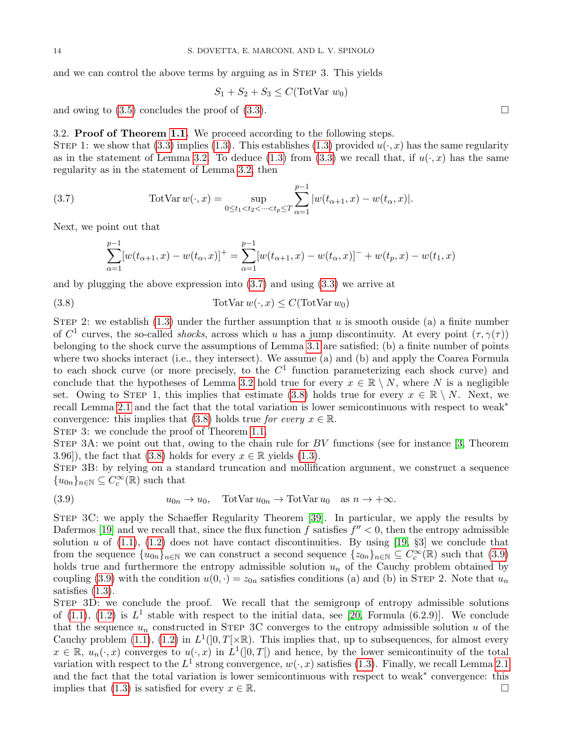and we can control the above terms by arguing as in STEP 3. This yields

$$
S_1 + S_2 + S_3 \le C(\text{TotVar } w_0)
$$

and owing to  $(3.5)$  concludes the proof of  $(3.3)$ .

# <span id="page-13-0"></span>3.2. Proof of Theorem [1.1.](#page-1-1) We proceed according to the following steps.

STEP 1: we show that [\(3.3\)](#page-11-4) implies [\(1.3\)](#page-1-0). This establishes (1.3) provided  $u(\cdot, x)$  has the same regularity as in the statement of Lemma [3.2.](#page-11-5) To deduce [\(1.3\)](#page-1-0) from [\(3.3\)](#page-11-4) we recall that, if  $u(\cdot, x)$  has the same regularity as in the statement of Lemma [3.2,](#page-11-5) then

(3.7) 
$$
\text{TotVar } w(\cdot, x) = \sup_{0 \le t_1 < t_2 < \dots < t_p \le T} \sum_{\alpha = 1}^{p-1} |w(t_{\alpha+1}, x) - w(t_{\alpha}, x)|.
$$

Next, we point out that

<span id="page-13-2"></span><span id="page-13-1"></span>
$$
\sum_{\alpha=1}^{p-1} [w(t_{\alpha+1}, x) - w(t_{\alpha}, x)]^{+} = \sum_{\alpha=1}^{p-1} [w(t_{\alpha+1}, x) - w(t_{\alpha}, x)]^{-} + w(t_{p}, x) - w(t_{1}, x)
$$

and by plugging the above expression into [\(3.7\)](#page-13-1) and using [\(3.3\)](#page-11-4) we arrive at

(3.8)  $\text{TotVar } w(\cdot, x) \leq C(\text{TotVar } w_0)$ 

STEP 2: we establish  $(1.3)$  under the further assumption that u is smooth ouside (a) a finite number of  $C^1$  curves, the so-called *shocks*, across which u has a jump discontinuity. At every point  $(\tau, \gamma(\tau))$ belonging to the shock curve the assumptions of Lemma [3.1](#page-11-1) are satisfied; (b) a finite number of points where two shocks interact (i.e., they intersect). We assume (a) and (b) and apply the Coarea Formula to each shock curve (or more precisely, to the  $C<sup>1</sup>$  function parameterizing each shock curve) and conclude that the hypotheses of Lemma [3.2](#page-11-5) hold true for every  $x \in \mathbb{R} \setminus N$ , where N is a negligible set. Owing to STEP 1, this implies that estimate [\(3.8\)](#page-13-2) holds true for every  $x \in \mathbb{R} \setminus N$ . Next, we recall Lemma [2.1](#page-6-0) and the fact that the total variation is lower semicontinuous with respect to weak<sup>∗</sup> convergence: this implies that [\(3.8\)](#page-13-2) holds true for every  $x \in \mathbb{R}$ .

STEP 3: we conclude the proof of Theorem [1.1.](#page-1-1)

STEP 3A: we point out that, owing to the chain rule for  $BV$  functions (see for instance [\[3,](#page-26-4) Theorem 3.96]), the fact that [\(3.8\)](#page-13-2) holds for every  $x \in \mathbb{R}$  yields [\(1.3\)](#page-1-0).

Step 3B: by relying on a standard truncation and mollification argument, we construct a sequence  ${u_{0n}}_{n\in\mathbb{N}} \subseteq \widehat{C_c^{\infty}(\mathbb{R})}$  such that

<span id="page-13-3"></span>(3.9) 
$$
u_{0n} \to u_0
$$
,  $\text{TotVar } u_{0n} \to \text{TotVar } u_0$  as  $n \to +\infty$ .

Step 3C: we apply the Schaeffer Regularity Theorem [\[39\]](#page-27-21). In particular, we apply the results by Dafermos [\[19\]](#page-26-16) and we recall that, since the flux function f satisfies  $f'' < 0$ , then the entropy admissible solution u of  $(1.1)$ ,  $(1.2)$  does not have contact discontinuities. By using [\[19,](#page-26-16) §3] we conclude that from the sequence  $\{u_{0n}\}_{n\in\mathbb{N}}$  we can construct a second sequence  $\{z_{0n}\}_{n\in\mathbb{N}}\subseteq C_c^{\infty}(\mathbb{R})$  such that  $(3.9)$ holds true and furthermore the entropy admissible solution  $u_n$  of the Cauchy problem obtained by coupling [\(3.9\)](#page-13-3) with the condition  $u(0, \cdot) = z_{0n}$  satisfies conditions (a) and (b) in STEP 2. Note that  $u_n$ satisfies [\(1.3\)](#page-1-0).

STEP 3D: we conclude the proof. We recall that the semigroup of entropy admissible solutions of [\(1.1\)](#page-0-0), [\(1.2\)](#page-0-1) is  $L^1$  stable with respect to the initial data, see [\[20,](#page-27-2) Formula (6.2.9)]. We conclude that the sequence  $u_n$  constructed in STEP 3C converges to the entropy admissible solution u of the Cauchy problem [\(1.1\)](#page-0-0), [\(1.2\)](#page-0-1) in  $L^1(]0,T[\times\mathbb{R})$ . This implies that, up to subsequences, for almost every  $x \in \mathbb{R}, u_n(\cdot, x)$  converges to  $u(\cdot, x)$  in  $L^1(]0,T[)$  and hence, by the lower semicontinuity of the total variation with respect to the  $L^1$  strong convergence,  $w(\cdot, x)$  satisfies [\(1.3\)](#page-1-0). Finally, we recall Lemma [2.1](#page-6-0) and the fact that the total variation is lower semicontinuous with respect to weak<sup>∗</sup> convergence: this implies that [\(1.3\)](#page-1-0) is satisfied for every  $x \in \mathbb{R}$ .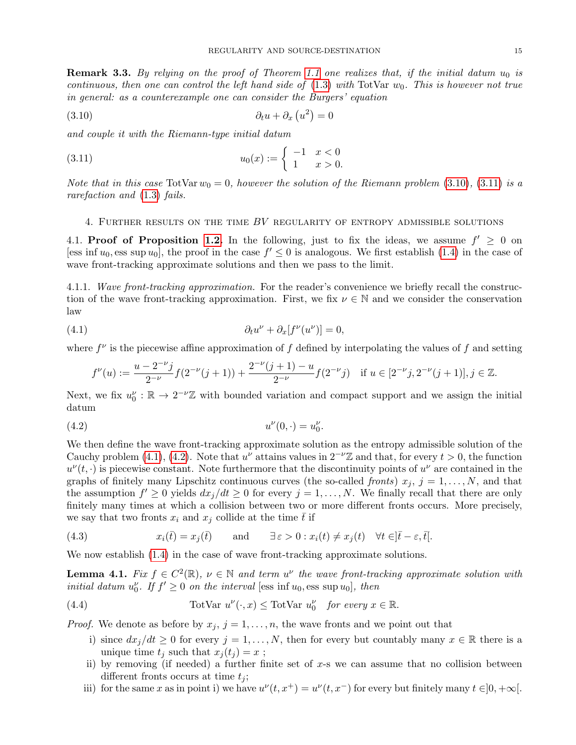<span id="page-14-0"></span>**Remark 3.3.** By relying on the proof of Theorem [1.1](#page-1-1) one realizes that, if the initial datum  $u_0$  is continuous, then one can control the left hand side of  $(1.3)$  with TotVar  $w_0$ . This is however not true in general: as a counterexample one can consider the Burgers' equation

<span id="page-14-2"></span>
$$
(3.10) \qquad \qquad \partial_t u + \partial_x (u^2) = 0
$$

and couple it with the Riemann-type initial datum

(3.11) 
$$
u_0(x) := \begin{cases} -1 & x < 0 \\ 1 & x > 0. \end{cases}
$$

Note that in this case TotVar  $w_0 = 0$ , however the solution of the Riemann problem [\(3.10\)](#page-14-2), [\(3.11\)](#page-14-3) is a rarefaction and [\(1.3\)](#page-1-0) fails.

# <span id="page-14-3"></span><span id="page-14-1"></span>4. FURTHER RESULTS ON THE TIME  $BV$  regularity of entropy admissible solutions

4.1. Proof of Proposition [1.2.](#page-1-2) In the following, just to fix the ideas, we assume  $f' \geq 0$  on [ess inf  $u_0$ , ess sup  $u_0$ ], the proof in the case  $f' \leq 0$  is analogous. We first establish [\(1.4\)](#page-1-3) in the case of wave front-tracking approximate solutions and then we pass to the limit.

4.1.1. Wave front-tracking approximation. For the reader's convenience we briefly recall the construction of the wave front-tracking approximation. First, we fix  $\nu \in \mathbb{N}$  and we consider the conservation law

(4.1) 
$$
\partial_t u^{\nu} + \partial_x [f^{\nu}(u^{\nu})] = 0,
$$

where  $f^{\nu}$  is the piecewise affine approximation of f defined by interpolating the values of f and setting

<span id="page-14-5"></span><span id="page-14-4"></span>
$$
f^{\nu}(u) := \frac{u - 2^{-\nu}j}{2^{-\nu}} f(2^{-\nu}(j+1)) + \frac{2^{-\nu}(j+1) - u}{2^{-\nu}} f(2^{-\nu}j) \quad \text{if } u \in [2^{-\nu}j, 2^{-\nu}(j+1)], j \in \mathbb{Z}.
$$

Next, we fix  $u_0^{\nu} : \mathbb{R} \to 2^{-\nu} \mathbb{Z}$  with bounded variation and compact support and we assign the initial datum

(4.2) 
$$
u^{\nu}(0, \cdot) = u_0^{\nu}.
$$

We then define the wave front-tracking approximate solution as the entropy admissible solution of the Cauchy problem [\(4.1\)](#page-14-4), [\(4.2\)](#page-14-5). Note that  $u^{\nu}$  attains values in  $2^{-\nu}\mathbb{Z}$  and that, for every  $t > 0$ , the function  $u^{\nu}(t, \cdot)$  is piecewise constant. Note furthermore that the discontinuity points of  $u^{\nu}$  are contained in the graphs of finitely many Lipschitz continuous curves (the so-called *fronts*)  $x_j$ ,  $j = 1, \ldots, N$ , and that the assumption  $f' \geq 0$  yields  $dx_j/dt \geq 0$  for every  $j = 1, ..., N$ . We finally recall that there are only finitely many times at which a collision between two or more different fronts occurs. More precisely, we say that two fronts  $x_i$  and  $x_j$  collide at the time  $\bar{t}$  if

(4.3) 
$$
x_i(\bar{t}) = x_j(\bar{t}) \quad \text{and} \quad \exists \varepsilon > 0 : x_i(t) \neq x_j(t) \quad \forall t \in ]\bar{t} - \varepsilon, \bar{t}].
$$

We now establish  $(1.4)$  in the case of wave front-tracking approximate solutions.

<span id="page-14-7"></span>**Lemma 4.1.** Fix  $f \in C^2(\mathbb{R})$ ,  $\nu \in \mathbb{N}$  and term  $u^{\nu}$  the wave front-tracking approximate solution with initial datum  $u_0^{\nu}$ . If  $f' \geq 0$  on the interval [ess inf  $u_0$ , ess sup  $u_0$ ], then

(4.4) 
$$
\text{TotVar } u^{\nu}(\cdot, x) \leq \text{TotVar } u_0^{\nu} \quad \text{for every } x \in \mathbb{R}.
$$

*Proof.* We denote as before by  $x_j$ ,  $j = 1, \ldots, n$ , the wave fronts and we point out that

- <span id="page-14-6"></span>i) since  $dx_j/dt \geq 0$  for every  $j = 1, ..., N$ , then for every but countably many  $x \in \mathbb{R}$  there is a unique time  $t_j$  such that  $x_j(t_j) = x$ ;
- ii) by removing (if needed) a further finite set of  $x$ -s we can assume that no collision between different fronts occurs at time  $t_i$ ;
- iii) for the same x as in point i) we have  $u^{\nu}(t, x^+) = u^{\nu}(t, x^-)$  for every but finitely many  $t \in ]0, +\infty[$ .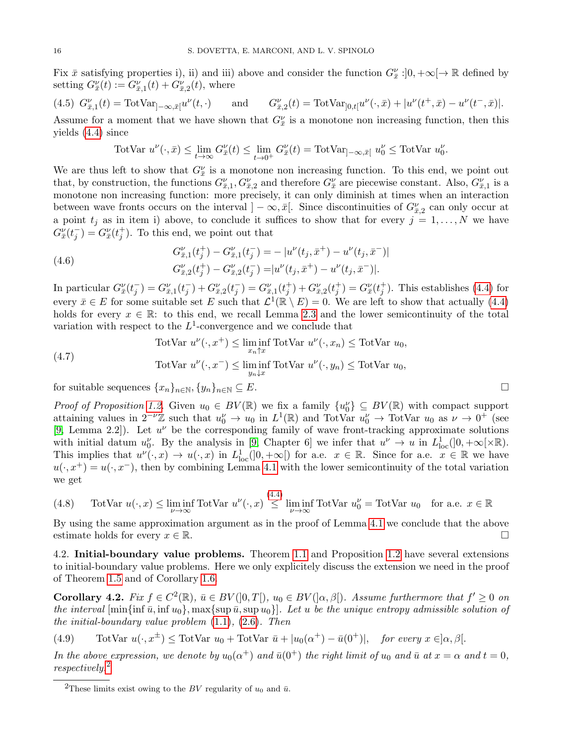Fix  $\bar{x}$  satisfying properties i), ii) and iii) above and consider the function  $G_{\bar{x}}^{\nu}$ :  $]0, +\infty[\to \mathbb{R}$  defined by setting  $G_{\bar{x}}^{\nu}(t) := G_{\bar{x},1}^{\nu}(t) + G_{\bar{x},2}^{\nu}(t)$ , where

<span id="page-15-2"></span>
$$
(4.5) \ \ G_{\bar{x},1}^{\nu}(t) = \text{TotVar}_{]-\infty,\bar{x}}[u^{\nu}(t,\cdot)] \quad \text{and} \quad G_{\bar{x},2}^{\nu}(t) = \text{TotVar}_{]0,t}[u^{\nu}(\cdot,\bar{x}) + |u^{\nu}(t^+,\bar{x}) - u^{\nu}(t^-,\bar{x})].
$$

Assume for a moment that we have shown that  $G_{\bar{x}}^{\nu}$  is a monotone non increasing function, then this yields [\(4.4\)](#page-14-6) since

$$
\text{TotVar } u^{\nu}(\cdot,\bar{x}) \le \lim_{t \to \infty} G_{\bar{x}}^{\nu}(t) \le \lim_{t \to 0^+} G_{\bar{x}}^{\nu}(t) = \text{TotVar}_{]-\infty, \bar{x}[} \ u_0^{\nu} \le \text{TotVar } u_0^{\nu}.
$$

We are thus left to show that  $G_{\bar{x}}^{\nu}$  is a monotone non increasing function. To this end, we point out that, by construction, the functions  $G_{\bar{x},1}^{\nu}, G_{\bar{x},2}^{\nu}$  and therefore  $G_{\bar{x}}^{\nu}$  are piecewise constant. Also,  $G_{\bar{x},1}^{\nu}$  is a monotone non increasing function: more precisely, it can only diminish at times when an interaction between wave fronts occurs on the interval  $]-\infty,\bar{x}[$ . Since discontinuities of  $G_{\bar{x},2}^{\nu}$  can only occur at a point  $t_j$  as in item i) above, to conclude it suffices to show that for every  $j = 1, ..., N$  we have  $G_{\bar{x}}^{\nu}(t_j^-) = G_{\bar{x}}^{\nu}(t_j^+)$ . To this end, we point out that

(4.6) 
$$
G_{\bar{x},1}^{\nu}(t_j^+) - G_{\bar{x},1}^{\nu}(t_j^-) = - |u^{\nu}(t_j, \bar{x}^+) - u^{\nu}(t_j, \bar{x}^-)|
$$

$$
G_{\bar{x},2}^{\nu}(t_j^+) - G_{\bar{x},2}^{\nu}(t_j^-) = |u^{\nu}(t_j, \bar{x}^+) - u^{\nu}(t_j, \bar{x}^-)|.
$$

In particular  $G_{\bar{x}}^{\nu}(t_j^-) = G_{\bar{x},1}^{\nu}(t_j^-) + G_{\bar{x},2}^{\nu}(t_j^-) = G_{\bar{x},1}^{\nu}(t_j^+) + G_{\bar{x},2}^{\nu}(t_j^+) = G_{\bar{x}}^{\nu}(t_j^+)$ . This establishes [\(4.4\)](#page-14-6) for every  $\bar{x} \in E$  for some suitable set E such that  $\mathcal{L}^1(\mathbb{R} \setminus E) = 0$ . We are left to show that actually [\(4.4\)](#page-14-6) holds for every  $x \in \mathbb{R}$ : to this end, we recall Lemma [2.3](#page-6-8) and the lower semicontinuity of the total variation with respect to the  $L^1$ -convergence and we conclude that

(4.7)   
\n
$$
\text{TotVar } u^{\nu}(\cdot, x^{+}) \leq \liminf_{x_{n} \uparrow x} \text{TotVar } u^{\nu}(\cdot, x_{n}) \leq \text{TotVar } u_{0},
$$
\n
$$
\text{TotVar } u^{\nu}(\cdot, x^{-}) \leq \liminf_{y_{n} \downarrow x} \text{TotVar } u^{\nu}(\cdot, y_{n}) \leq \text{TotVar } u_{0},
$$

for suitable sequences  $\{x_n\}_{n\in\mathbb{N}}$ ,  $\{y_n\}_{n\in\mathbb{N}}\subseteq E$ .

*Proof of Proposition [1.2.](#page-1-2)* Given  $u_0 \in BV(\mathbb{R})$  we fix a family  $\{u_0^{\nu}\}\subseteq BV(\mathbb{R})$  with compact support attaining values in  $2^{-\nu}\mathbb{Z}$  such that  $u_0^{\nu} \to u_0$  in  $L^1(\mathbb{R})$  and TotVar  $u_0^{\nu} \to \text{TotVar } u_0$  as  $\nu \to 0^+$  (see [\[9,](#page-26-17) Lemma 2.2]). Let  $u^{\nu}$  be the corresponding family of wave front-tracking approximate solutions with initial datum  $u_0^{\nu}$ . By the analysis in [\[9,](#page-26-17) Chapter 6] we infer that  $u^{\nu} \to u$  in  $L^1_{loc}([0, +\infty[\times \mathbb{R}).$ This implies that  $u^{\nu}(\cdot,x) \to u(\cdot,x)$  in  $L^1_{loc}([0,+\infty[)$  for a.e.  $x \in \mathbb{R}$ . Since for a.e.  $x \in \mathbb{R}$  we have  $u(\cdot, x^+) = u(\cdot, x^-)$ , then by combining Lemma [4.1](#page-14-7) with the lower semicontinuity of the total variation we get

(4.8) TotVar 
$$
u(\cdot, x) \le \liminf_{\nu \to \infty} \text{TotVar } u^{\nu}(\cdot, x) \stackrel{(4.4)}{\leq} \liminf_{\nu \to \infty} \text{TotVar } u_0^{\nu} = \text{TotVar } u_0
$$
 for a.e.  $x \in \mathbb{R}$ 

By using the same approximation argument as in the proof of Lemma [4.1](#page-14-7) we conclude that the above estimate holds for every  $x \in \mathbb{R}$ .

4.2. Initial-boundary value problems. Theorem [1.1](#page-1-1) and Proposition [1.2](#page-1-2) have several extensions to initial-boundary value problems. Here we only explicitely discuss the extension we need in the proof of Theorem [1.5](#page-4-0) and of Corollary [1.6.](#page-5-0)

<span id="page-15-0"></span>**Corollary 4.2.** Fix  $f \in C^2(\mathbb{R})$ ,  $\bar{u} \in BV(]0,T[$ ),  $u_0 \in BV(] \alpha,\beta[)$ . Assume furthermore that  $f' \geq 0$  on the interval  $[\min{\{\overline{u}, \inf u_0\}}, \max{\{\sup \overline{u}, \sup u_0\}}]$ . Let u be the unique entropy admissible solution of the initial-boundary value problem  $(1.1)$ ,  $(2.6)$ . Then

(4.9) TotVar  $u(\cdot, x^{\pm}) \leq$  TotVar  $u_0 +$  TotVar  $\bar{u} + |u_0(\alpha^+) - \bar{u}(0^+)|$ , for every  $x \in ]\alpha, \beta[$ .

In the above expression, we denote by  $u_0(\alpha^+)$  and  $\bar{u}(0^+)$  the right limit of  $u_0$  and  $\bar{u}$  at  $x = \alpha$  and  $t = 0$ , respectively.[2](#page-15-1)

<span id="page-15-1"></span><sup>&</sup>lt;sup>2</sup>These limits exist owing to the BV regularity of  $u_0$  and  $\bar{u}$ .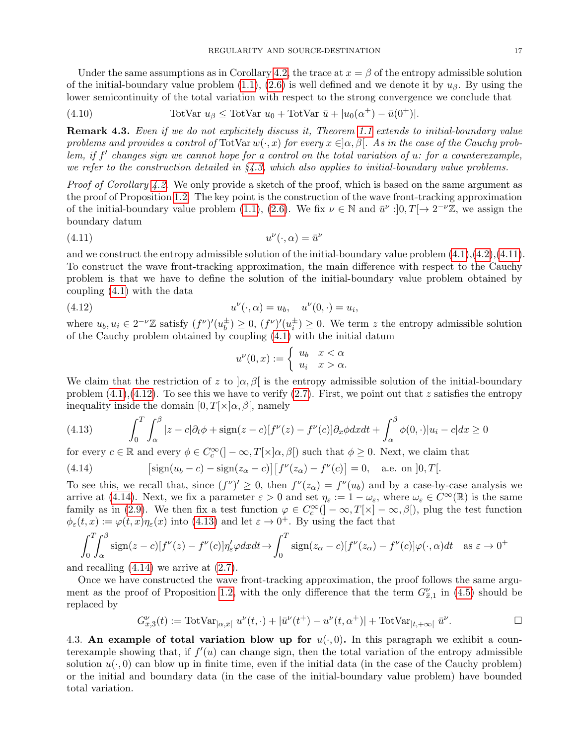Under the same assumptions as in Corollary [4.2,](#page-15-0) the trace at  $x = \beta$  of the entropy admissible solution of the initial-boundary value problem  $(1.1)$ ,  $(2.6)$  is well defined and we denote it by  $u_{\beta}$ . By using the lower semicontinuity of the total variation with respect to the strong convergence we conclude that

<span id="page-16-5"></span>(4.10) 
$$
\text{TotVar } u_{\beta} \leq \text{TotVar } u_0 + \text{TotVar } \bar{u} + |u_0(\alpha^+) - \bar{u}(0^+)|.
$$

**Remark 4.3.** Even if we do not explicitely discuss it, Theorem [1.1](#page-1-1) extends to initial-boundary value problems and provides a control of TotVar  $w(\cdot, x)$  for every  $x \in ]\alpha, \beta[$ . As in the case of the Cauchy problem, if  $f'$  changes sign we cannot hope for a control on the total variation of u: for a counterexample, we refer to the construction detailed in  $\S 4.3$ , which also applies to initial-boundary value problems.

Proof of Corollary [4.2.](#page-15-0) We only provide a sketch of the proof, which is based on the same argument as the proof of Proposition [1.2.](#page-1-2) The key point is the construction of the wave front-tracking approximation of the initial-boundary value problem [\(1.1\)](#page-0-0), [\(2.6\)](#page-7-1). We fix  $\nu \in \mathbb{N}$  and  $\bar{u}^{\nu}$ :  $[0, T] \rightarrow 2^{-\nu} \mathbb{Z}$ , we assign the boundary datum

$$
(4.11)\t\t\t u^{\nu}(\cdot,\alpha) = \bar{u}^{\nu}
$$

and we construct the entropy admissible solution of the initial-boundary value problem  $(4.1),(4.2),(4.11)$  $(4.1),(4.2),(4.11)$  $(4.1),(4.2),(4.11)$  $(4.1),(4.2),(4.11)$  $(4.1),(4.2),(4.11)$ . To construct the wave front-tracking approximation, the main difference with respect to the Cauchy problem is that we have to define the solution of the initial-boundary value problem obtained by coupling [\(4.1\)](#page-14-4) with the data

(4.12) 
$$
u^{\nu}(\cdot,\alpha) = u_b, \quad u^{\nu}(0,\cdot) = u_i,
$$

where  $u_b, u_i \in 2^{-\nu} \mathbb{Z}$  satisfy  $(f^{\nu})'(u_b^{\pm})$  $\frac{1}{b}$   $\geq$  0,  $(f^{\nu})'(u_i^{\pm}) \geq 0$ . We term z the entropy admissible solution of the Cauchy problem obtained by coupling [\(4.1\)](#page-14-4) with the initial datum

<span id="page-16-2"></span><span id="page-16-1"></span>
$$
u^{\nu}(0,x) := \begin{cases} u_b & x < \alpha \\ u_i & x > \alpha. \end{cases}
$$

We claim that the restriction of z to  $\alpha, \beta$  is the entropy admissible solution of the initial-boundary problem  $(4.1)$ ,  $(4.12)$ . To see this we have to verify  $(2.7)$ . First, we point out that z satisfies the entropy inequality inside the domain  $[0, T[\times] \alpha, \beta]$ , namely

<span id="page-16-4"></span>(4.13) 
$$
\int_0^T \int_\alpha^\beta |z - c| \partial_t \phi + \text{sign}(z - c) [f^\nu(z) - f^\nu(c)] \partial_x \phi dx dt + \int_\alpha^\beta \phi(0, \cdot) |u_i - c| dx \ge 0
$$

for every  $c \in \mathbb{R}$  and every  $\phi \in C_c^{\infty}(-\infty, T[\times ]\alpha, \beta[)$  such that  $\phi \geq 0$ . Next, we claim that

<span id="page-16-3"></span>(4.14) 
$$
\left[\operatorname{sign}(u_b-c)-\operatorname{sign}(z_{\alpha}-c)\right]\left[f^{\nu}(z_{\alpha})-f^{\nu}(c)\right]=0, \text{ a.e. on } ]0,T[.
$$

To see this, we recall that, since  $(f^{\nu})' \geq 0$ , then  $f^{\nu}(z_{\alpha}) = f^{\nu}(u_b)$  and by a case-by-case analysis we arrive at [\(4.14\)](#page-16-3). Next, we fix a parameter  $\varepsilon > 0$  and set  $\eta_{\varepsilon} := 1 - \omega_{\varepsilon}$ , where  $\omega_{\varepsilon} \in C^{\infty}(\mathbb{R})$  is the same family as in [\(2.9\)](#page-8-3). We then fix a test function  $\varphi \in C_c^{\infty}([-\infty,T[\times]-\infty,\beta])$ , plug the test function  $\phi_{\varepsilon}(t,x) := \varphi(t,x)\eta_{\varepsilon}(x)$  into [\(4.13\)](#page-16-4) and let  $\varepsilon \to 0^+$ . By using the fact that

$$
\int_0^T \int_\alpha^\beta \operatorname{sign}(z-c)[f^\nu(z) - f^\nu(c)] \eta'_\varepsilon \varphi dx dt \to \int_0^T \operatorname{sign}(z_\alpha - c)[f^\nu(z_\alpha) - f^\nu(c)] \varphi(\cdot, \alpha) dt \quad \text{as } \varepsilon \to 0^+
$$

and recalling  $(4.14)$  we arrive at  $(2.7)$ .

Once we have constructed the wave front-tracking approximation, the proof follows the same argu-ment as the proof of Proposition [1.2,](#page-1-2) with the only difference that the term  $G_{\bar{x},1}^{\nu}$  in [\(4.5\)](#page-15-2) should be replaced by

$$
G_{\bar{x},3}^{\nu}(t) := \text{TotVar}_{\alpha,\bar{x}}[u^{\nu}(t,\cdot) + |\bar{u}^{\nu}(t^{+}) - u^{\nu}(t,\alpha^{+})| + \text{TotVar}_{\alpha}[u^{\nu}].
$$

<span id="page-16-0"></span>4.3. An example of total variation blow up for  $u(\cdot, 0)$ . In this paragraph we exhibit a counterexample showing that, if  $f'(u)$  can change sign, then the total variation of the entropy admissible solution  $u(\cdot, 0)$  can blow up in finite time, even if the initial data (in the case of the Cauchy problem) or the initial and boundary data (in the case of the initial-boundary value problem) have bounded total variation.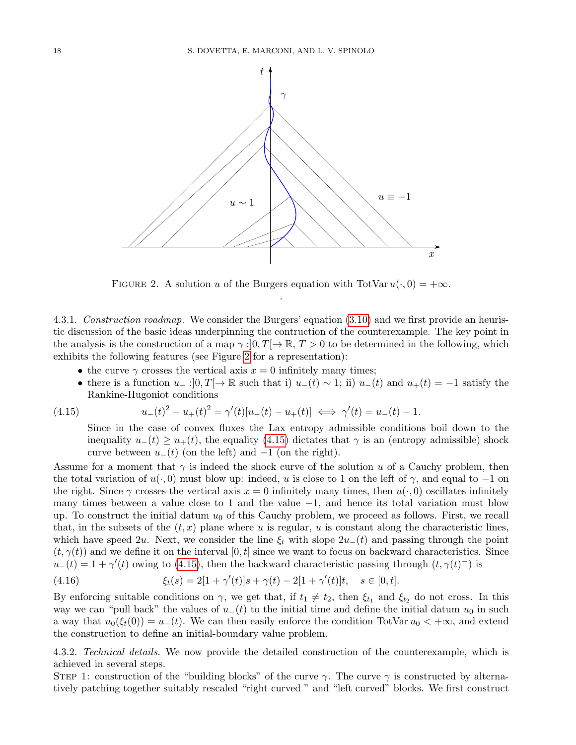

<span id="page-17-0"></span>FIGURE 2. A solution u of the Burgers equation with TotVar  $u(\cdot, 0) = +\infty$ . .

4.3.1. Construction roadmap. We consider the Burgers' equation [\(3.10\)](#page-14-2) and we first provide an heuristic discussion of the basic ideas underpinning the contruction of the counterexample. The key point in the analysis is the construction of a map  $\gamma$  :  $[0, T] \to \mathbb{R}$ ,  $T > 0$  to be determined in the following, which exhibits the following features (see Figure [2](#page-17-0) for a representation):

- the curve  $\gamma$  crosses the vertical axis  $x = 0$  infinitely many times;
- there is a function  $u_- : ]0,T[ \to \mathbb{R}$  such that i)  $u_-(t) \sim 1$ ; ii)  $u_-(t)$  and  $u_+(t) = -1$  satisfy the Rankine-Hugoniot conditions

(4.15) 
$$
u_{-}(t)^{2} - u_{+}(t)^{2} = \gamma'(t)[u_{-}(t) - u_{+}(t)] \iff \gamma'(t) = u_{-}(t) - 1.
$$

<span id="page-17-1"></span>Since in the case of convex fluxes the Lax entropy admissible conditions boil down to the inequality  $u_{-}(t) \geq u_{+}(t)$ , the equality [\(4.15\)](#page-17-1) dictates that  $\gamma$  is an (entropy admissible) shock curve between  $u_-(t)$  (on the left) and  $-1$  (on the right).

Assume for a moment that  $\gamma$  is indeed the shock curve of the solution u of a Cauchy problem, then the total variation of  $u(\cdot, 0)$  must blow up: indeed, u is close to 1 on the left of  $\gamma$ , and equal to -1 on the right. Since  $\gamma$  crosses the vertical axis  $x = 0$  infinitely many times, then  $u(\cdot, 0)$  oscillates infinitely many times between a value close to 1 and the value  $-1$ , and hence its total variation must blow up. To construct the initial datum  $u_0$  of this Cauchy problem, we proceed as follows. First, we recall that, in the subsets of the  $(t, x)$  plane where u is regular, u is constant along the characteristic lines, which have speed 2u. Next, we consider the line  $\xi_t$  with slope  $2u_-(t)$  and passing through the point  $(t, \gamma(t))$  and we define it on the interval  $[0, t]$  since we want to focus on backward characteristics. Since  $u_-(t) = 1 + \gamma'(t)$  owing to [\(4.15\)](#page-17-1), then the backward characteristic passing through  $(t, \gamma(t)^-)$  is

<span id="page-17-2"></span>(4.16) 
$$
\xi_t(s) = 2[1 + \gamma'(t)]s + \gamma(t) - 2[1 + \gamma'(t)]t, \quad s \in [0, t].
$$

By enforcing suitable conditions on  $\gamma$ , we get that, if  $t_1 \neq t_2$ , then  $\xi_{t_1}$  and  $\xi_{t_2}$  do not cross. In this way we can "pull back" the values of  $u_{-}(t)$  to the initial time and define the initial datum  $u_0$  in such a way that  $u_0(\xi_t(0)) = u_-(t)$ . We can then easily enforce the condition TotVar  $u_0 < +\infty$ , and extend the construction to define an initial-boundary value problem.

4.3.2. Technical details. We now provide the detailed construction of the counterexample, which is achieved in several steps.

STEP 1: construction of the "building blocks" of the curve  $\gamma$ . The curve  $\gamma$  is constructed by alternatively patching together suitably rescaled "right curved " and "left curved" blocks. We first construct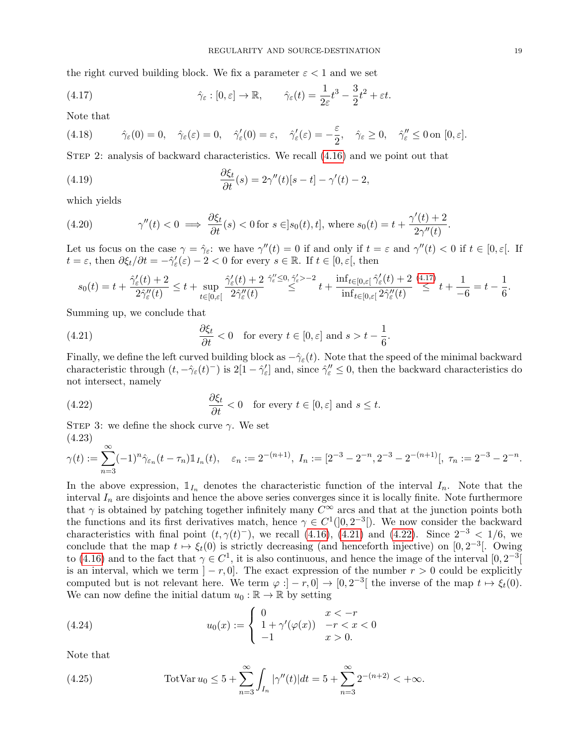the right curved building block. We fix a parameter  $\varepsilon < 1$  and we set

<span id="page-18-0"></span>(4.17) 
$$
\hat{\gamma}_{\varepsilon} : [0, \varepsilon] \to \mathbb{R}, \qquad \hat{\gamma}_{\varepsilon}(t) = \frac{1}{2\varepsilon}t^3 - \frac{3}{2}t^2 + \varepsilon t.
$$

Note that

(4.18) 
$$
\hat{\gamma}_{\varepsilon}(0) = 0, \quad \hat{\gamma}_{\varepsilon}(\varepsilon) = 0, \quad \hat{\gamma}'_{\varepsilon}(0) = \varepsilon, \quad \hat{\gamma}'_{\varepsilon}(\varepsilon) = -\frac{\varepsilon}{2}, \quad \hat{\gamma}_{\varepsilon} \ge 0, \quad \hat{\gamma}''_{\varepsilon} \le 0 \text{ on } [0, \varepsilon].
$$

Step 2: analysis of backward characteristics. We recall [\(4.16\)](#page-17-2) and we point out that

(4.19) 
$$
\frac{\partial \xi_t}{\partial t}(s) = 2\gamma''(t)[s-t] - \gamma'(t) - 2,
$$

which yields

(4.20) 
$$
\gamma''(t) < 0 \implies \frac{\partial \xi_t}{\partial t}(s) < 0 \text{ for } s \in ]s_0(t), t], \text{ where } s_0(t) = t + \frac{\gamma'(t) + 2}{2\gamma''(t)}.
$$

Let us focus on the case  $\gamma = \hat{\gamma}_{\varepsilon}$ : we have  $\gamma''(t) = 0$  if and only if  $t = \varepsilon$  and  $\gamma''(t) < 0$  if  $t \in [0, \varepsilon]$ . If  $t = \varepsilon$ , then  $\partial \xi_t / \partial t = -\hat{\gamma}_\varepsilon'(\varepsilon) - 2 < 0$  for every  $s \in \mathbb{R}$ . If  $t \in [0, \varepsilon],$  then

<span id="page-18-1"></span>
$$
s_0(t) = t + \frac{\hat{\gamma}_{\varepsilon}'(t) + 2}{2\hat{\gamma}_{\varepsilon}''(t)} \leq t + \sup_{t \in [0,\varepsilon[} \frac{\hat{\gamma}_{\varepsilon}'(t) + 2}{2\hat{\gamma}_{\varepsilon}''(t)} \stackrel{\hat{\gamma}_{\varepsilon}' \leq 0, \ \hat{\gamma}_{\varepsilon}' > -2}{\leq t} + \frac{\inf_{t \in [0,\varepsilon[} \hat{\gamma}_{\varepsilon}'(t) + 2}{\inf_{t \in [0,\varepsilon[} 2\hat{\gamma}_{\varepsilon}''(t))} \stackrel{(4.17)}{\leq} t + \frac{1}{-6} = t - \frac{1}{6}.
$$

Summing up, we conclude that

(4.21) 
$$
\frac{\partial \xi_t}{\partial t} < 0 \quad \text{for every } t \in [0, \varepsilon] \text{ and } s > t - \frac{1}{6}.
$$

Finally, we define the left curved building block as  $-\hat{\gamma}_{\varepsilon}(t)$ . Note that the speed of the minimal backward characteristic through  $(t, -\hat{\gamma}_{\varepsilon}(t)^{-})$  is  $2[1-\hat{\gamma}_{\varepsilon}']$  and, since  $\hat{\gamma}_{\varepsilon}'' \leq 0$ , then the backward characteristics do not intersect, namely

<span id="page-18-2"></span>(4.22) 
$$
\frac{\partial \xi_t}{\partial t} < 0 \text{ for every } t \in [0, \varepsilon] \text{ and } s \leq t.
$$

STEP 3: we define the shock curve  $\gamma$ . We set (4.23)

$$
\gamma(t) := \sum_{n=3}^{\infty} (-1)^n \hat{\gamma}_{\varepsilon_n}(t - \tau_n) \mathbb{1}_{I_n}(t), \quad \varepsilon_n := 2^{-(n+1)}, \ I_n := [2^{-3} - 2^{-n}, 2^{-3} - 2^{-(n+1)}], \ \tau_n := 2^{-3} - 2^{-n}.
$$

In the above expression,  $\mathbb{1}_{I_n}$  denotes the characteristic function of the interval  $I_n$ . Note that the interval  $I_n$  are disjoints and hence the above series converges since it is locally finite. Note furthermore that  $\gamma$  is obtained by patching together infinitely many  $C^{\infty}$  arcs and that at the junction points both the functions and its first derivatives match, hence  $\gamma \in C^1([0, 2^{-3}])$ . We now consider the backward characteristics with final point  $(t, \gamma(t)^{-})$ , we recall [\(4.16\)](#page-17-2), [\(4.21\)](#page-18-1) and [\(4.22\)](#page-18-2). Since  $2^{-3} < 1/6$ , we conclude that the map  $t \mapsto \xi_t(0)$  is strictly decreasing (and henceforth injective) on [0, 2<sup>-3</sup>[. Owing to [\(4.16\)](#page-17-2) and to the fact that  $\gamma \in C^1$ , it is also continuous, and hence the image of the interval  $[0, 2^{-3}]$ is an interval, which we term  $]-r,0]$ . The exact expression of the number  $r > 0$  could be explicitly computed but is not relevant here. We term  $\varphi : ] - r, 0] \to [0, 2^{-3}]$  the inverse of the map  $t \mapsto \xi_t(0)$ . We can now define the initial datum  $u_0 : \mathbb{R} \to \mathbb{R}$  by setting

<span id="page-18-3"></span>(4.24) 
$$
u_0(x) := \begin{cases} 0 & x < -r \\ 1 + \gamma'(\varphi(x)) & -r < x < 0 \\ -1 & x > 0. \end{cases}
$$

Note that

(4.25) 
$$
\text{TotVar } u_0 \leq 5 + \sum_{n=3}^{\infty} \int_{I_n} |\gamma''(t)| dt = 5 + \sum_{n=3}^{\infty} 2^{-(n+2)} < +\infty.
$$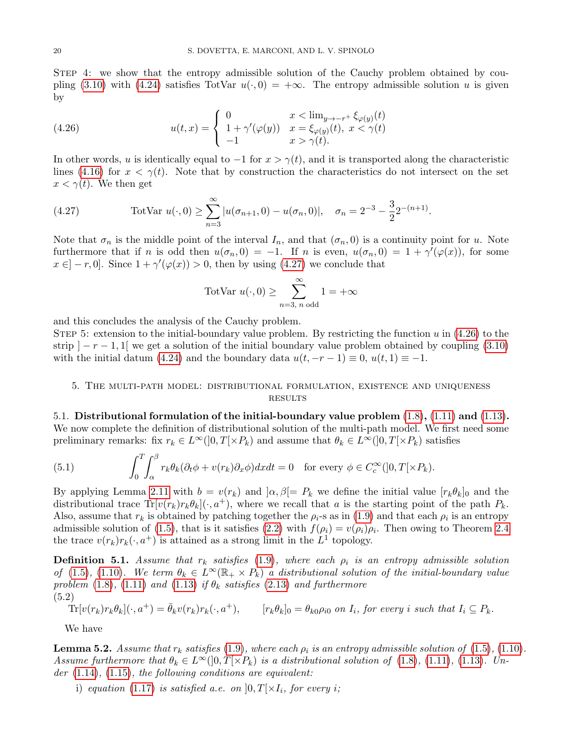STEP 4: we show that the entropy admissible solution of the Cauchy problem obtained by cou-pling [\(3.10\)](#page-14-2) with [\(4.24\)](#page-18-3) satisfies TotVar  $u(\cdot, 0) = +\infty$ . The entropy admissible solution u is given by

<span id="page-19-4"></span>(4.26) 
$$
u(t,x) = \begin{cases} 0 & x < \lim_{y \to -r^+} \xi_{\varphi(y)}(t) \\ 1 + \gamma'(\varphi(y)) & x = \xi_{\varphi(y)}(t), \ x < \gamma(t) \\ -1 & x > \gamma(t). \end{cases}
$$

In other words, u is identically equal to  $-1$  for  $x > \gamma(t)$ , and it is transported along the characteristic lines [\(4.16\)](#page-17-2) for  $x < \gamma(t)$ . Note that by construction the characteristics do not intersect on the set  $x < \gamma(t)$ . We then get

<span id="page-19-3"></span>(4.27) 
$$
\text{TotVar } u(\cdot, 0) \ge \sum_{n=3}^{\infty} |u(\sigma_{n+1}, 0) - u(\sigma_n, 0)|, \quad \sigma_n = 2^{-3} - \frac{3}{2} 2^{-(n+1)}.
$$

Note that  $\sigma_n$  is the middle point of the interval  $I_n$ , and that  $(\sigma_n, 0)$  is a continuity point for u. Note furthermore that if n is odd then  $u(\sigma_n, 0) = -1$ . If n is even,  $u(\sigma_n, 0) = 1 + \gamma'(\varphi(x))$ , for some  $x \in ]-r,0].$  Since  $1 + \gamma'(\varphi(x)) > 0$ , then by using [\(4.27\)](#page-19-3) we conclude that

$$
TotVar u(\cdot,0) \ge \sum_{n=3, n \text{ odd}}^{\infty} 1 = +\infty
$$

and this concludes the analysis of the Cauchy problem.

STEP 5: extension to the initial-boundary value problem. By restricting the function  $u$  in [\(4.26\)](#page-19-4) to the strip  $|-r-1,1|$  we get a solution of the initial boundary value problem obtained by coupling [\(3.10\)](#page-14-2) with the initial datum [\(4.24\)](#page-18-3) and the boundary data  $u(t, -r - 1) \equiv 0$ ,  $u(t, 1) \equiv -1$ .

# <span id="page-19-2"></span>5. The multi-path model: distributional formulation, existence and uniqueness **RESULTS**

5.1. Distributional formulation of the initial-boundary value problem  $(1.8)$ ,  $(1.11)$  and  $(1.13)$ . We now complete the definition of distributional solution of the multi-path model. We first need some preliminary remarks: fix  $r_k \in L^{\infty}(0,T[\times P_k)$  and assume that  $\theta_k \in L^{\infty}(0,T[\times P_k)$  satisfies

(5.1) 
$$
\int_0^T \int_\alpha^\beta r_k \theta_k (\partial_t \phi + v(r_k) \partial_x \phi) dx dt = 0 \text{ for every } \phi \in C_c^\infty([0, T[ \times P_k).
$$

By applying Lemma [2.11](#page-9-0) with  $b = v(r_k)$  and  $\alpha, \beta = P_k$  we define the initial value  $[r_k \theta_k]_0$  and the distributional trace  $Tr[v(r_k)r_k\theta_k](\cdot, a^+)$ , where we recall that a is the starting point of the path  $P_k$ . Also, assume that  $r_k$  is obtained by patching together the  $\rho_i$ -s as in [\(1.9\)](#page-2-3) and that each  $\rho_i$  is an entropy admissible solution of [\(1.5\)](#page-2-1), that is it satisfies [\(2.2\)](#page-6-7) with  $f(\rho_i) = v(\rho_i)\rho_i$ . Then owing to Theorem [2.4](#page-6-4) the trace  $v(r_k)r_k(\cdot, a^+)$  is attained as a strong limit in the  $L^1$  topology.

<span id="page-19-0"></span>**Definition 5.1.** Assume that  $r_k$  satisfies [\(1.9\)](#page-2-3), where each  $\rho_i$  is an entropy admissible solution of [\(1.5\)](#page-2-1), [\(1.10\)](#page-2-4). We term  $\theta_k \in L^{\infty}(\mathbb{R}_+ \times P_k)$  a distributional solution of the initial-boundary value problem [\(1.8\)](#page-2-2), [\(1.11\)](#page-3-5) and [\(1.13\)](#page-3-6) if  $\theta_k$  satisfies [\(2.13\)](#page-9-2) and furthermore (5.2)

$$
\text{Tr}[v(r_k)r_k\theta_k](\cdot, a^+) = \bar{\theta}_k v(r_k)r_k(\cdot, a^+), \qquad [r_k\theta_k]_0 = \theta_{k0}\rho_{i0} \text{ on } I_i, \text{ for every } i \text{ such that } I_i \subseteq P_k.
$$

We have

<span id="page-19-1"></span>**Lemma 5.2.** Assume that  $r_k$  satisfies [\(1.9\)](#page-2-3), where each  $\rho_i$  is an entropy admissible solution of [\(1.5\)](#page-2-1), [\(1.10\)](#page-2-4). Assume furthermore that  $\theta_k \in L^{\infty}(0,T \times P_k)$  is a distributional solution of [\(1.8\)](#page-2-2), [\(1.11\)](#page-3-5), [\(1.13\)](#page-3-6). Under  $(1.14)$ ,  $(1.15)$ , the following conditions are equivalent:

i) equation [\(1.17\)](#page-4-1) is satisfied a.e. on  $[0, T] \times I_i$ , for every i;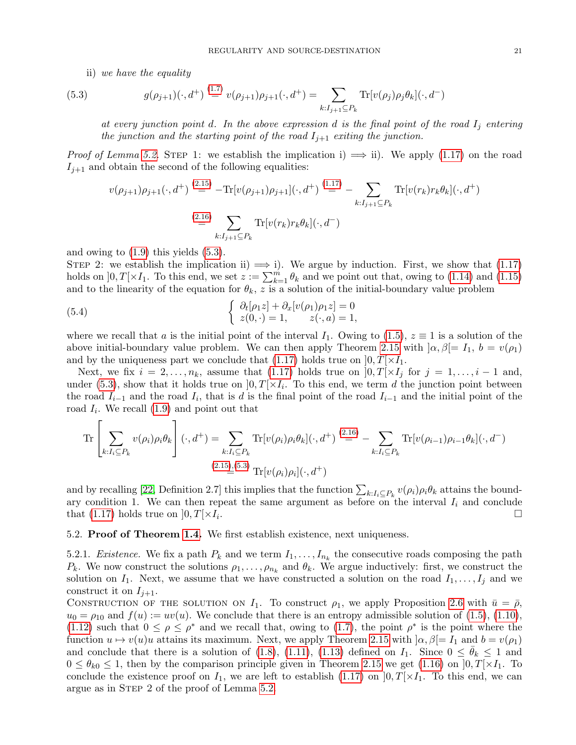ii) we have the equality

(5.3) 
$$
g(\rho_{j+1})(\cdot, d^+) \stackrel{(1.7)}{=} v(\rho_{j+1})\rho_{j+1}(\cdot, d^+) = \sum_{k: I_{j+1} \subseteq P_k} \text{Tr}[v(\rho_j)\rho_j \theta_k](\cdot, d^-)
$$

<span id="page-20-0"></span>at every junction point d. In the above expression d is the final point of the road  $I_i$  entering the junction and the starting point of the road  $I_{j+1}$  exiting the junction.

*Proof of Lemma [5.2.](#page-19-1)* STEP 1: we establish the implication i)  $\implies$  ii). We apply [\(1.17\)](#page-4-1) on the road  $I_{i+1}$  and obtain the second of the following equalities:

$$
v(\rho_{j+1})\rho_{j+1}(\cdot, d^{+}) \stackrel{(2.15)}{=} -\text{Tr}[v(\rho_{j+1})\rho_{j+1}](\cdot, d^{+}) \stackrel{(1.17)}{=} -\sum_{k:I_{j+1}\subseteq P_k} \text{Tr}[v(r_k)r_k\theta_k](\cdot, d^{+})
$$
  

$$
\stackrel{(2.16)}{=} \sum_{k:I_{j+1}\subseteq P_k} \text{Tr}[v(r_k)r_k\theta_k](\cdot, d^{-})
$$

and owing to [\(1.9\)](#page-2-3) this yields [\(5.3\)](#page-20-0).

STEP 2: we establish the implication ii)  $\implies$  i). We argue by induction. First, we show that [\(1.17\)](#page-4-1) holds on  $]0,T[\times I_1]$ . To this end, we set  $z := \sum_{k=1}^m \theta_k$  and we point out that, owing to [\(1.14\)](#page-3-2) and [\(1.15\)](#page-3-3) and to the linearity of the equation for  $\theta_k$ , z is a solution of the initial-boundary value problem

(5.4) 
$$
\begin{cases} \partial_t[\rho_1 z] + \partial_x[v(\rho_1)\rho_1 z] = 0\\ z(0, \cdot) = 1, \qquad z(\cdot, a) = 1, \end{cases}
$$

where we recall that a is the initial point of the interval  $I_1$ . Owing to [\(1.5\)](#page-2-1),  $z \equiv 1$  is a solution of the above initial-boundary value problem. We can then apply Theorem [2.15](#page-10-3) with  $\alpha, \beta = I_1, b = v(\rho_1)$ and by the uniqueness part we conclude that [\(1.17\)](#page-4-1) holds true on  $[0, T] \times I_1$ .

Next, we fix  $i = 2, \ldots, n_k$ , assume that [\(1.17\)](#page-4-1) holds true on  $[0, T] \times I_i$  for  $j = 1, \ldots, i - 1$  and, under [\(5.3\)](#page-20-0), show that it holds true on  $]0,T[\times I_i]$ . To this end, we term d the junction point between the road  $I_{i-1}$  and the road  $I_i$ , that is d is the final point of the road  $I_{i-1}$  and the initial point of the road  $I_i$ . We recall  $(1.9)$  and point out that

$$
\operatorname{Tr}\left[\sum_{k:I_i\subseteq P_k} v(\rho_i)\rho_i\theta_k\right](\cdot,d^+) = \sum_{k:I_i\subseteq P_k} \operatorname{Tr}[v(\rho_i)\rho_i\theta_k](\cdot,d^+) \stackrel{(2.16)}{=} -\sum_{k:I_i\subseteq P_k} \operatorname{Tr}[v(\rho_{i-1})\rho_{i-1}\theta_k](\cdot,d^-)
$$
\n
$$
\operatorname{Tr}\left[\sum_{k:I_i\subseteq P_k} v(\rho_i)\rho_i\theta_k\right](\cdot,d^+) \stackrel{(2.16)}{=} -\sum_{k:I_i\subseteq P_k} \operatorname{Tr}[v(\rho_{i-1})\rho_{i-1}\theta_k](\cdot,d^-)
$$

and by recalling [\[22,](#page-27-12) Definition 2.7] this implies that the function  $\sum_{k:I_i\subseteq P_k} v(\rho_i)\rho_i\theta_k$  attains the boundary condition 1. We can then repeat the same argument as before on the interval  $I_i$  and conclude that [\(1.17\)](#page-4-1) holds true on  $[0, T] \times I_i$ . . В последните при последните последните последните последните последните последните последните последните по<br>В 1990 година от 1990 година от 1990 година от 1990 година от 1990 година от 1990 година от 1990 година от 199

#### 5.2. Proof of Theorem [1.4.](#page-4-2) We first establish existence, next uniqueness.

<span id="page-20-1"></span>5.2.1. *Existence*. We fix a path  $P_k$  and we term  $I_1, \ldots, I_{n_k}$  the consecutive roads composing the path  $P_k$ . We now construct the solutions  $\rho_1, \ldots, \rho_{n_k}$  and  $\theta_k$ . We argue inductively: first, we construct the solution on  $I_1$ . Next, we assume that we have constructed a solution on the road  $I_1, \ldots, I_j$  and we construct it on  $I_{i+1}$ .

CONSTRUCTION OF THE SOLUTION ON  $I_1$ . To construct  $\rho_1$ , we apply Proposition [2.6](#page-7-2) with  $\bar{u} = \bar{\rho}$ ,  $u_0 = \rho_{10}$  and  $f(u) := uv(u)$ . We conclude that there is an entropy admissible solution of [\(1.5\)](#page-2-1), [\(1.10\)](#page-2-4), [\(1.12\)](#page-3-4) such that  $0 \leq \rho \leq \rho^*$  and we recall that, owing to [\(1.7\)](#page-2-6), the point  $\rho^*$  is the point where the function  $u \mapsto v(u)u$  attains its maximum. Next, we apply Theorem [2.15](#page-10-3) with  $|\alpha, \beta|=I_1$  and  $b=v(\rho_1)$ and conclude that there is a solution of [\(1.8\)](#page-2-2), [\(1.11\)](#page-3-5), [\(1.13\)](#page-3-6) defined on  $I_1$ . Since  $0 \le \theta_k \le 1$  and  $0 \le \theta_{k0} \le 1$ , then by the comparison principle given in Theorem [2.15](#page-10-3) we get [\(1.16\)](#page-3-7) on  $]0, T[ \times I_1]$ . To conclude the existence proof on  $I_1$ , we are left to establish [\(1.17\)](#page-4-1) on  $]0,T[\times I_1]$ . To this end, we can argue as in Step 2 of the proof of Lemma [5.2.](#page-19-1)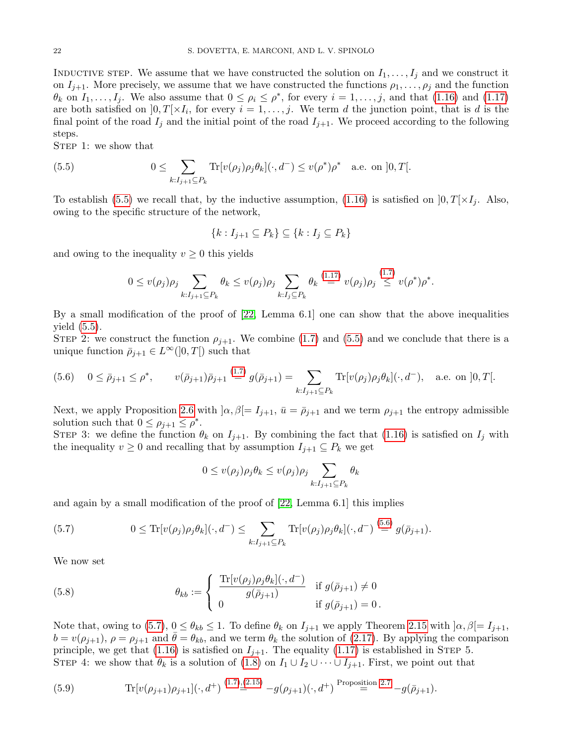INDUCTIVE STEP. We assume that we have constructed the solution on  $I_1, \ldots, I_j$  and we construct it on  $I_{j+1}$ . More precisely, we assume that we have constructed the functions  $\rho_1, \ldots, \rho_j$  and the function  $\theta_k$  on  $I_1, \ldots, I_j$ . We also assume that  $0 \le \rho_i \le \rho^*$ , for every  $i = 1, \ldots, j$ , and that  $(1.16)$  and  $(1.17)$ are both satisfied on  $]0,T[\times I_i]$ , for every  $i=1,\ldots,j$ . We term d the junction point, that is d is the final point of the road  $I_j$  and the initial point of the road  $I_{j+1}$ . We proceed according to the following steps.

STEP 1: we show that

(5.5) 
$$
0 \leq \sum_{k:I_{j+1} \subseteq P_k} \text{Tr}[v(\rho_j) \rho_j \theta_k](\cdot, d^-) \leq v(\rho^*) \rho^* \quad \text{a.e. on } ]0, T[.
$$

To establish [\(5.5\)](#page-21-0) we recall that, by the inductive assumption, [\(1.16\)](#page-3-7) is satisfied on  $[0, T] \times I_i$ . Also, owing to the specific structure of the network,

<span id="page-21-0"></span>
$$
\{k: I_{j+1} \subseteq P_k\} \subseteq \{k: I_j \subseteq P_k\}
$$

and owing to the inequality  $v \geq 0$  this yields

$$
0 \le v(\rho_j)\rho_j \sum_{k: I_{j+1} \subseteq P_k} \theta_k \le v(\rho_j)\rho_j \sum_{k: I_j \subseteq P_k} \theta_k \stackrel{(1.17)}{=} v(\rho_j)\rho_j \stackrel{(1.7)}{\le} v(\rho^*)\rho^*.
$$

By a small modification of the proof of  $[22, \text{ Lemma } 6.1]$  $[22, \text{ Lemma } 6.1]$  one can show that the above inequalities yield [\(5.5\)](#page-21-0).

STEP 2: we construct the function  $\rho_{j+1}$ . We combine [\(1.7\)](#page-2-6) and [\(5.5\)](#page-21-0) and we conclude that there is a unique function  $\bar{p}_{i+1} \in L^{\infty}(]0,T[)$  such that

<span id="page-21-1"></span>
$$
(5.6) \quad 0 \le \bar{\rho}_{j+1} \le \rho^*, \qquad v(\bar{\rho}_{j+1})\bar{\rho}_{j+1} \stackrel{(1.7)}{=} g(\bar{\rho}_{j+1}) = \sum_{k: I_{j+1} \subseteq P_k} \text{Tr}[v(\rho_j)\rho_j \theta_k](\cdot, d^-), \quad \text{a.e. on } ]0, T[.
$$

Next, we apply Proposition [2.6](#page-7-2) with  $\alpha, \beta$  =  $I_{j+1}$ ,  $\bar{u} = \bar{\rho}_{j+1}$  and we term  $\rho_{j+1}$  the entropy admissible solution such that  $0 \leq \rho_{j+1} \leq \rho^*$ .

STEP 3: we define the function  $\theta_k$  on  $I_{j+1}$ . By combining the fact that [\(1.16\)](#page-3-7) is satisfied on  $I_j$  with the inequality  $v \geq 0$  and recalling that by assumption  $I_{j+1} \subseteq P_k$  we get

$$
0 \le v(\rho_j)\rho_j\theta_k \le v(\rho_j)\rho_j \sum_{k:I_{j+1} \subseteq P_k} \theta_k
$$

and again by a small modification of the proof of [\[22,](#page-27-12) Lemma 6.1] this implies

<span id="page-21-2"></span>(5.7) 
$$
0 \leq \text{Tr}[v(\rho_j)\rho_j\theta_k](\cdot, d^-) \leq \sum_{k: I_{j+1} \subseteq P_k} \text{Tr}[v(\rho_j)\rho_j\theta_k](\cdot, d^-) \stackrel{(5.6)}{=} g(\bar{\rho}_{j+1}).
$$

We now set

<span id="page-21-3"></span>(5.8) 
$$
\theta_{kb} := \begin{cases} \frac{\text{Tr}[v(\rho_j)\rho_j\theta_k](\cdot,d^-)}{g(\bar{\rho}_{j+1})} & \text{if } g(\bar{\rho}_{j+1}) \neq 0 \\ 0 & \text{if } g(\bar{\rho}_{j+1}) = 0. \end{cases}
$$

Note that, owing to [\(5.7\)](#page-21-2),  $0 \le \theta_{kb} \le 1$ . To define  $\theta_k$  on  $I_{j+1}$  we apply Theorem [2.15](#page-10-3) with  $\alpha, \beta$  =  $I_{j+1}$ ,  $b = v(\rho_{j+1}), \rho = \rho_{j+1}$  and  $\theta = \theta_{kb}$ , and we term  $\theta_k$  the solution of [\(2.17\)](#page-10-2). By applying the comparison principle, we get that [\(1.16\)](#page-3-7) is satisfied on  $I_{j+1}$ . The equality [\(1.17\)](#page-4-1) is established in STEP 5. STEP 4: we show that  $\theta_k$  is a solution of  $(1.8)$  on  $I_1 \cup I_2 \cup \cdots \cup I_{j+1}$ . First, we point out that

<span id="page-21-4"></span>(5.9) 
$$
\text{Tr}[v(\rho_{j+1})\rho_{j+1}] (\cdot, d^+) \stackrel{(1.7),(2.15)}{=} -g(\rho_{j+1}) (\cdot, d^+) \stackrel{\text{Proposition 2.7}}{=} -g(\bar{\rho}_{j+1}).
$$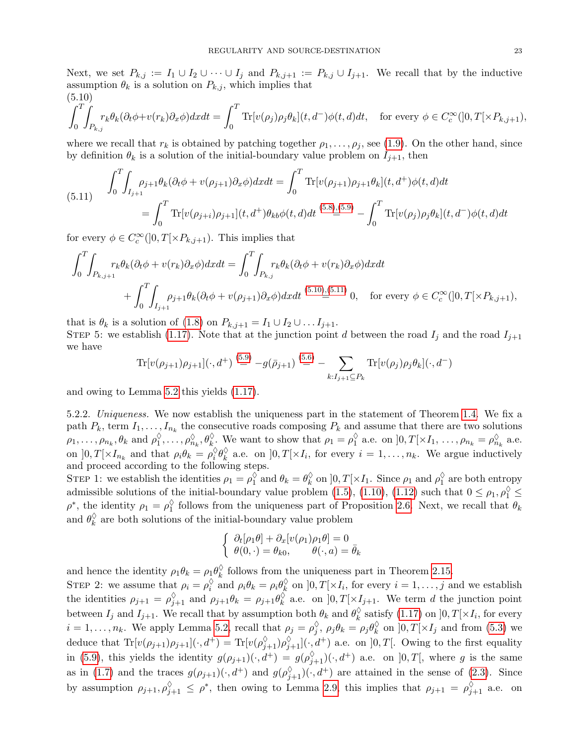Next, we set  $P_{k,j} := I_1 \cup I_2 \cup \cdots \cup I_j$  and  $P_{k,j+1} := P_{k,j} \cup I_{j+1}$ . We recall that by the inductive assumption  $\theta_k$  is a solution on  $P_{k,j}$ , which implies that  $(5.10)$ 

<span id="page-22-0"></span>
$$
\int_0^T \int_{P_{k,j}} r_k \theta_k (\partial_t \phi + v(r_k) \partial_x \phi) dx dt = \int_0^T \text{Tr}[v(\rho_j) \rho_j \theta_k](t, d^-) \phi(t, d) dt, \text{ for every } \phi \in C_c^{\infty}(]0, T[ \times P_{k,j+1}),
$$

where we recall that  $r_k$  is obtained by patching together  $\rho_1, \ldots, \rho_j$ , see [\(1.9\)](#page-2-3). On the other hand, since by definition  $\theta_k$  is a solution of the initial-boundary value problem on  $I_{i+1}$ , then

<span id="page-22-1"></span>(5.11) 
$$
\int_0^T \int_{I_{j+1}} \rho_{j+1} \theta_k (\partial_t \phi + v(\rho_{j+1}) \partial_x \phi) dx dt = \int_0^T \text{Tr}[v(\rho_{j+1}) \rho_{j+1} \theta_k](t, d^+) \phi(t, d) dt
$$

$$
= \int_0^T \text{Tr}[v(\rho_{j+i}) \rho_{j+1}](t, d^+) \theta_{kb} \phi(t, d) dt \stackrel{(5.8),(5.9)}{=} -\int_0^T \text{Tr}[v(\rho_j) \rho_j \theta_k](t, d^-) \phi(t, d) dt
$$

for every  $\phi \in C_c^{\infty}(]0,T[\times P_{k,j+1})$ . This implies that

$$
\int_0^T \int_{P_{k,j+1}} r_k \theta_k (\partial_t \phi + v(r_k) \partial_x \phi) dx dt = \int_0^T \int_{P_{k,j}} r_k \theta_k (\partial_t \phi + v(r_k) \partial_x \phi) dx dt + \int_0^T \int_{I_{j+1}} \rho_{j+1} \theta_k (\partial_t \phi + v(\rho_{j+1}) \partial_x \phi) dx dt \stackrel{(5.10),(5.11)}{=} 0, \text{ for every } \phi \in C_c^{\infty}(]0, T[ \times P_{k,j+1}),
$$

that is  $\theta_k$  is a solution of [\(1.8\)](#page-2-2) on  $P_{k,j+1} = I_1 \cup I_2 \cup \ldots I_{j+1}$ . STEP 5: we establish [\(1.17\)](#page-4-1). Note that at the junction point d between the road  $I_j$  and the road  $I_{j+1}$ we have

$$
\text{Tr}[v(\rho_{j+1})\rho_{j+1}](\cdot, d^+) \stackrel{(5.9)}{=} -g(\bar{\rho}_{j+1}) \stackrel{(5.6)}{=} -\sum_{k:I_{j+1}\subseteq P_k} \text{Tr}[v(\rho_j)\rho_j\theta_k](\cdot, d^-)
$$

and owing to Lemma [5.2](#page-19-1) this yields [\(1.17\)](#page-4-1).

5.2.2. Uniqueness. We now establish the uniqueness part in the statement of Theorem [1.4.](#page-4-2) We fix a path  $P_k$ , term  $I_1, \ldots, I_{n_k}$  the consecutive roads composing  $P_k$  and assume that there are two solutions  $\rho_1, \ldots, \rho_{n_k}, \theta_k \text{ and } \rho_1^{\diamondsuit}$  $\hat{\phi}_1, \ldots, \hat{\phi}_{n_k}$ ,  $\theta_k^{\Diamond}$ . We want to show that  $\rho_1 = \rho_1^{\Diamond}$  $\frac{\lozenge}{1}$  a.e. on  $]0,T[\times I_1,\ldots,\rho_{n_k}=\rho_n^{\lozenge}$  $\frac{\Diamond}{n_k}$  a.e. on  $]0, T[ \times I_{n_k} \text{ and that } \rho_i \theta_k = \rho_i^{\Diamond}$  $\frac{\Diamond}{i} \theta_k^{\Diamond}$  $\sum_{k=1}^{\infty}$  a.e. on  $]0,T[\times I_i]$  for every  $i=1,\ldots,n_k$ . We argue inductively and proceed according to the following steps.

STEP 1: we establish the identities  $\rho_1 = \rho_1^{\diamond}$  $\int_1^{\lozenge}$  and  $\theta_k = \theta_k^{\lozenge}$  $\frac{\Diamond}{k}$  on  $]0, T[\times I_1]$ . Since  $\rho_1$  and  $\rho_1^{\Diamond}$  $\frac{\sqrt{3}}{1}$  are both entropy admissible solutions of the initial-boundary value problem [\(1.5\)](#page-2-1), [\(1.10\)](#page-2-4), [\(1.12\)](#page-3-4) such that  $0 \le \rho_1, \rho_1^{\lozenge} \le$  $\rho^*$ , the identity  $\rho_1 = \rho_1^{\lozenge}$  $\frac{\sqrt{3}}{1}$  follows from the uniqueness part of Proposition [2.6.](#page-7-2) Next, we recall that  $\theta_k$ and  $\theta_k^{\lozenge}$  $\frac{\sqrt{6}}{k}$  are both solutions of the initial-boundary value problem

$$
\begin{cases} \partial_t[\rho_1\theta] + \partial_x[v(\rho_1)\rho_1\theta] = 0\\ \theta(0,\cdot) = \theta_{k0}, \qquad \theta(\cdot,a) = \bar{\theta}_k \end{cases}
$$

and hence the identity  $\rho_1 \theta_k = \rho_1 \theta_k^{\lozenge}$  $\frac{6}{k}$  follows from the uniqueness part in Theorem [2.15.](#page-10-3)

STEP 2: we assume that  $\rho_i = \rho_i^{\Diamond}$  $\int_{i}^{\lozenge}$  and  $\rho_i \theta_k = \rho_i \theta_k^{\lozenge}$  $\sum_{k}^{\infty}$  on  $]0, T[\times I_i, \text{ for every } i = 1, \ldots, j \text{ and we establish }$ the identities  $\rho_{j+1} = \rho_{j+1}^{\lozenge}$  and  $\rho_{j+1}\theta_k = \rho_{j+1}\theta_k^{\lozenge}$  $\chi_k^{\circ}$  a.e. on  $]0, T[ \times I_{j+1}$ . We term d the junction point between  $I_j$  and  $I_{j+1}$ . We recall that by assumption both  $\theta_k$  and  $\theta_k^{\lozenge}$  $\frac{N}{k}$  satisfy [\(1.17\)](#page-4-1) on  $]0,T[\times I_i]$ , for every  $i = 1, \ldots, n_k$ . We apply Lemma [5.2,](#page-19-1) recall that  $\rho_j = \rho_j^{\diamond}$  $\frac{\Diamond}{j},\ \rho_j\theta_k=\rho_j\theta_k^\Diamond$  $_k^{\heartsuit}$  on  $]0, T[ \times I_j]$  and from [\(5.3\)](#page-20-0) we deduce that  $\text{Tr}[v(\rho_{j+1})\rho_{j+1}](\cdot, d^+) = \text{Tr}[v(\rho_{j+1}^{\lozenge})\rho_{j+1}^{\lozenge}](\cdot, d^+)$  a.e. on  $]0, T[$ . Owing to the first equality in [\(5.9\)](#page-21-4), this yields the identity  $g(\rho_{j+1})(\cdot, d^+) = g(\rho_{j+1}^{\Diamond})(\cdot, d^+)$  a.e. on  $]0, T[$ , where g is the same as in [\(1.7\)](#page-2-6) and the traces  $g(\rho_{j+1})(\cdot, d^+)$  and  $g(\rho_{j+1}^{\Diamond})(\cdot, d^+)$  are attained in the sense of [\(2.3\)](#page-6-5). Since by assumption  $\rho_{j+1}, \rho_{j+1}^{\Diamond} \leq \rho^*$ , then owing to Lemma [2.9,](#page-8-4) this implies that  $\rho_{j+1} = \rho_{j+1}^{\Diamond}$  a.e. on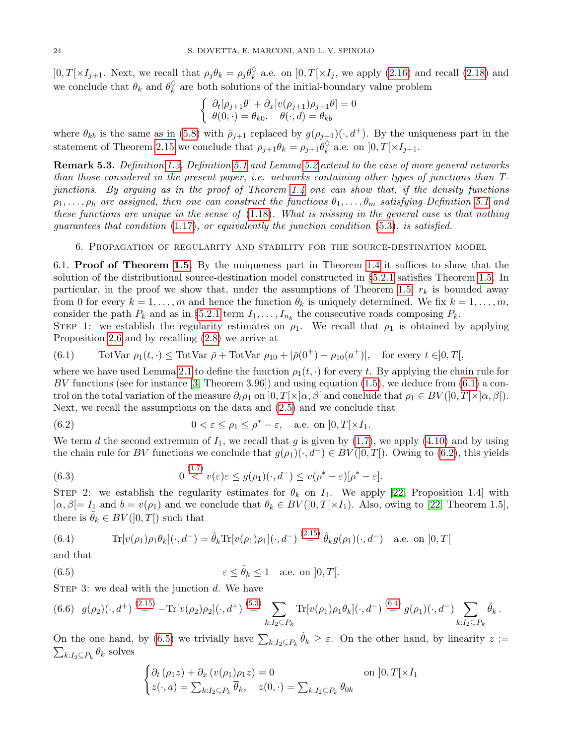$]0, T[\times I_{j+1}$ . Next, we recall that  $\rho_j \theta_k = \rho_j \theta_k^{\lozenge}$  $\frac{\sqrt{6}}{k}$  a.e. on  $]0, T[ \times I_j$ , we apply [\(2.16\)](#page-10-1) and recall [\(2.18\)](#page-10-4) and we conclude that  $\theta_k$  and  $\theta_k^{\lozenge}$  $\frac{\sqrt{6}}{k}$  are both solutions of the initial-boundary value problem

$$
\begin{cases} \n\partial_t[\rho_{j+1}\theta] + \partial_x[v(\rho_{j+1})\rho_{j+1}\theta] = 0 \\
\theta(0, \cdot) = \theta_{k0}, \quad \theta(\cdot, d) = \theta_{kb} \n\end{cases}
$$

where  $\theta_{kb}$  is the same as in [\(5.8\)](#page-21-3) with  $\bar{\rho}_{j+1}$  replaced by  $g(\rho_{j+1})(\cdot, d^+)$ . By the uniqueness part in the statement of Theorem [2.15](#page-10-3) we conclude that  $\rho_{j+1}\theta_k = \rho_{j+1}\theta_k^{\lozenge}$  $_k^\vee$  a.e. on  $]0,T[\times I_{j+1}.$ 

Remark 5.3. Definition [1.3,](#page-3-1) Definition [5.1](#page-19-0) and Lemma [5.2](#page-19-1) extend to the case of more general networks than those considered in the present paper, i.e. networks containing other types of junctions than Tjunctions. By arguing as in the proof of Theorem [1.4](#page-4-2) one can show that, if the density functions  $\rho_1, \ldots, \rho_h$  are assigned, then one can construct the functions  $\theta_1, \ldots, \theta_m$  satisfying Definition [5.1](#page-19-0) and these functions are unique in the sense of  $(1.18)$ . What is missing in the general case is that nothing guarantees that condition  $(1.17)$ , or equivalently the junction condition  $(5.3)$ , is satisfied.

6. Propagation of regularity and stability for the source-destination model

<span id="page-23-0"></span>6.1. Proof of Theorem [1.5.](#page-4-0) By the uniqueness part in Theorem [1.4](#page-4-2) it suffices to show that the solution of the distributional source-destination model constructed in §[5.2.1](#page-20-1) satisfies Theorem [1.5.](#page-4-0) In particular, in the proof we show that, under the assumptions of Theorem [1.5,](#page-4-0)  $r_k$  is bounded away from 0 for every  $k = 1, \ldots, m$  and hence the function  $\theta_k$  is uniquely determined. We fix  $k = 1, \ldots, m$ , consider the path  $P_k$  and as in §[5.2.1](#page-20-1) term  $I_1, \ldots, I_{n_k}$  the consecutive roads composing  $P_k$ .

STEP 1: we establish the regularity estimates on  $\rho_1$ . We recall that  $\rho_1$  is obtained by applying Proposition [2.6](#page-7-2) and by recalling [\(2.8\)](#page-7-6) we arrive at

<span id="page-23-1"></span>(6.1) TotVar 
$$
\rho_1(t, \cdot) \leq \text{TotVar } \bar{\rho} + \text{TotVar } \rho_{10} + |\bar{\rho}(0^+) - \rho_{10}(a^+)|
$$
, for every  $t \in ]0, T[$ ,

where we have used Lemma [2.1](#page-6-0) to define the function  $\rho_1(t, \cdot)$  for every t. By applying the chain rule for BV functions (see for instance [\[3,](#page-26-4) Theorem 3.96]) and using equation  $(1.5)$ , we deduce from  $(6.1)$  a control on the total variation of the measure  $\partial_t \rho_1$  on  $]0, T[\times]\alpha, \beta[$  and conclude that  $\rho_1 \in BV(]0, T[\times]\alpha, \beta[)$ . Next, we recall the assumptions on the data and [\(2.5\)](#page-7-7) and we conclude that

<span id="page-23-2"></span>(6.2) 
$$
0 < \varepsilon \leq \rho_1 \leq \rho^* - \varepsilon, \quad \text{a.e. on } ]0, T[ \times I_1.
$$

We term d the second extremum of  $I_1$ , we recall that g is given by  $(1.7)$ , we apply  $(4.10)$  and by using the chain rule for BV functions we conclude that  $g(\rho_1)(\cdot, d^-) \in BV([0, T])$ . Owing to [\(6.2\)](#page-23-2), this yields

<span id="page-23-5"></span>(6.3) 
$$
0 \stackrel{(1.7)}{<} v(\varepsilon) \varepsilon \le g(\rho_1)(\cdot, d^-) \le v(\rho^* - \varepsilon)[\rho^* - \varepsilon].
$$

STEP 2: we establish the regularity estimates for  $\theta_k$  on  $I_1$ . We apply [\[22,](#page-27-12) Proposition 1.4] with  $\alpha, \beta$ [=  $I_1$  and  $b = v(\rho_1)$  and we conclude that  $\theta_k \in BV(]0, T[\times I_1)$ . Also, owing to [\[22,](#page-27-12) Theorem 1.5], there is  $\hat{\theta}_k \in BV([0,T])$  such that

<span id="page-23-3"></span>(6.4) 
$$
\text{Tr}[v(\rho_1)\rho_1\theta_k](\cdot,d^-) = \tilde{\theta}_k \text{Tr}[v(\rho_1)\rho_1](\cdot,d^-) \stackrel{(2.15)}{=} \tilde{\theta}_k g(\rho_1)(\cdot,d^-) \text{ a.e. on } ]0,T[
$$

and that

(6.5) 
$$
\varepsilon \leq \tilde{\theta}_k \leq 1 \quad \text{a.e. on } ]0, T[.
$$

STEP 3: we deal with the junction  $d$ . We have

<span id="page-23-6"></span>
$$
(6.6) \quad g(\rho_2)(\cdot, d^+) \stackrel{(2.15)}{=} -\text{Tr}[v(\rho_2)\rho_2](\cdot, d^+) \stackrel{(5.3)}{=} \sum_{k:I_2 \subseteq P_k} \text{Tr}[v(\rho_1)\rho_1\theta_k](\cdot, d^-) \stackrel{(6.4)}{=} g(\rho_1)(\cdot, d^-) \sum_{k:I_2 \subseteq P_k} \tilde{\theta}_k.
$$

On the one hand, by [\(6.5\)](#page-23-4) we trivially have  $\sum_{k:I_2\subseteq P_k} \tilde{\theta}_k \geq \varepsilon$ . On the other hand, by linearity  $z :=$  $\sum_{k:I_2\subseteq P_k} \theta_k$  solves

<span id="page-23-4"></span>
$$
\begin{cases} \partial_t \left( \rho_1 z \right) + \partial_x \left( v(\rho_1) \rho_1 z \right) = 0 & \text{on } ]0, T[ \times I_1 \\ z(\cdot, a) = \sum_{k: I_2 \subseteq P_k} \overline{\theta}_k, \quad z(0, \cdot) = \sum_{k: I_2 \subseteq P_k} \theta_{0k} \end{cases}
$$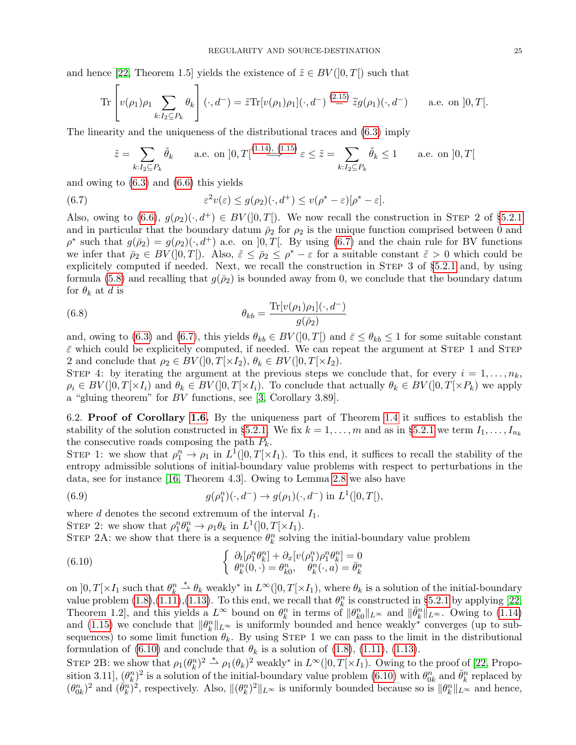and hence [\[22,](#page-27-12) Theorem 1.5] yields the existence of  $\tilde{z} \in BV(0,T]$  such that

$$
\operatorname{Tr}\left[v(\rho_1)\rho_1\sum_{k:I_2\subseteq P_k}\theta_k\right](\cdot,d^-)=\tilde{z}\operatorname{Tr}[v(\rho_1)\rho_1](\cdot,d^-)\stackrel{(2.15)}{=}\tilde{z}g(\rho_1)(\cdot,d^-)\qquad\text{a.e. on }]0,T[.
$$

The linearity and the uniqueness of the distributional traces and [\(6.3\)](#page-23-5) imply

<span id="page-24-0"></span>
$$
\tilde{z} = \sum_{k:I_2 \subseteq P_k} \tilde{\theta}_k \qquad \text{a.e. on } ]0, T[^{(1.14), (1.15)}] \varepsilon \le \tilde{z} = \sum_{k:I_2 \subseteq P_k} \tilde{\theta}_k \le 1 \qquad \text{a.e. on } ]0, T[
$$

and owing to [\(6.3\)](#page-23-5) and [\(6.6\)](#page-23-6) this yields

(6.7) 
$$
\varepsilon^2 v(\varepsilon) \leq g(\rho_2)(\cdot, d^+) \leq v(\rho^* - \varepsilon)[\rho^* - \varepsilon].
$$

Also, owing to  $(6.6)$ ,  $g(\rho_2)(\cdot, d^+) \in BV([0, T])$ . We now recall the construction in STEP 2 of §[5.2.1](#page-20-1) and in particular that the boundary datum  $\bar{\rho}_2$  for  $\rho_2$  is the unique function comprised between 0 and  $\rho^*$  such that  $g(\bar{\rho}_2) = g(\rho_2)(\cdot, d^+)$  a.e. on  $]0, T[$ . By using [\(6.7\)](#page-24-0) and the chain rule for BV functions we infer that  $\bar{\rho}_2 \in BV([0,T])$ . Also,  $\tilde{\varepsilon} \leq \bar{\rho}_2 \leq \rho^* - \varepsilon$  for a suitable constant  $\tilde{\varepsilon} > 0$  which could be explicitely computed if needed. Next, we recall the construction in STEP 3 of §[5.2.1](#page-20-1) and, by using formula [\(5.8\)](#page-21-3) and recalling that  $g(\bar{p}_2)$  is bounded away from 0, we conclude that the boundary datum for  $\theta_k$  at d is

(6.8) 
$$
\theta_{kb} = \frac{\text{Tr}[v(\rho_1)\rho_1](\cdot, d^-)}{g(\bar{\rho}_2)}
$$

and, owing to [\(6.3\)](#page-23-5) and [\(6.7\)](#page-24-0), this yields  $\theta_{kb} \in BV([0,T])$  and  $\bar{\varepsilon} \leq \theta_{kb} \leq 1$  for some suitable constant  $\bar{\varepsilon}$  which could be explicitely computed, if needed. We can repeat the argument at STEP 1 and STEP 2 and conclude that  $\rho_2 \in BV(]0,T[\times I_2), \theta_k \in BV(]0,T[\times I_2).$ 

STEP 4: by iterating the argument at the previous steps we conclude that, for every  $i = 1, \ldots, n_k$ ,  $\rho_i \in BV([0,T] \times I_i)$  and  $\theta_k \in BV([0,T] \times I_i)$ . To conclude that actually  $\theta_k \in BV([0,T] \times P_k)$  we apply a "gluing theorem" for BV functions, see [\[3,](#page-26-4) Corollary 3.89].

6.2. Proof of Corollary [1.6.](#page-5-0) By the uniqueness part of Theorem [1.4](#page-4-2) it suffices to establish the stability of the solution constructed in §[5.2.1.](#page-20-1) We fix  $k = 1, ..., m$  and as in §[5.2.1](#page-20-1) we term  $I_1, ..., I_{n_k}$ the consecutive roads composing the path  $P_k$ .

STEP 1: we show that  $\rho_1^n \to \rho_1$  in  $L^1(]0,T[\times I_1)$ . To this end, it suffices to recall the stability of the entropy admissible solutions of initial-boundary value problems with respect to perturbations in the data, see for instance [\[16,](#page-26-18) Theorem 4.3]. Owing to Lemma [2.8](#page-8-0) we also have

<span id="page-24-2"></span>(6.9) 
$$
g(\rho_1^n)(\cdot, d^-) \to g(\rho_1)(\cdot, d^-) \text{ in } L^1([0, T]),
$$

where  $d$  denotes the second extremum of the interval  $I_1$ .

STEP 2: we show that  $\rho_1^n \theta_k^n \to \rho_1 \theta_k$  in  $L^1(]0,T[ \times I_1)$ .

STEP 2A: we show that there is a sequence  $\theta_k^n$  solving the initial-boundary value problem

<span id="page-24-1"></span>(6.10) 
$$
\begin{cases} \partial_t [\rho_1^n \theta_k^n] + \partial_x [v(\rho_1^n)\rho_1^n \theta_k^n] = 0\\ \theta_k^n(0,\cdot) = \theta_k^n, \quad \theta_k^n(\cdot,a) = \bar{\theta}_k^n \end{cases}
$$

on  $]0,T[\times I_1]$  such that  $\theta_k^n \overset{*}{\rightharpoonup} \theta_k$  weakly\* in  $L^\infty([0,T[\times I_1])$ , where  $\theta_k$  is a solution of the initial-boundary value problem  $(1.8), (1.11), (1.13)$  $(1.8), (1.11), (1.13)$  $(1.8), (1.11), (1.13)$  $(1.8), (1.11), (1.13)$  $(1.8), (1.11), (1.13)$ . To this end, we recall that  $\theta_k^n$  is constructed in §[5.2.1](#page-20-1) by applying [\[22,](#page-27-12) Theorem 1.2, and this yields a  $L^{\infty}$  bound on  $\theta_k^n$  in terms of  $\|\theta_{k0}^n\|_{L^{\infty}}$  and  $\|\bar{\theta}_k^n\|_{L^{\infty}}$ . Owing to [\(1.14\)](#page-3-2) and [\(1.15\)](#page-3-3) we conclude that  $\|\theta_k^n\|_{L^\infty}$  is uniformly bounded and hence weakly<sup>∗</sup> converges (up to subsequences) to some limit function  $\theta_k$ . By using STEP 1 we can pass to the limit in the distributional formulation of [\(6.10\)](#page-24-1) and conclude that  $\theta_k$  is a solution of [\(1.8\)](#page-2-2), [\(1.11\)](#page-3-5), [\(1.13\)](#page-3-6).

STEP 2B: we show that  $\rho_1(\theta_k^n)^2 \stackrel{*}{\rightharpoonup} \rho_1(\theta_k)^2$  weakly\* in  $L^\infty(]0,T[\times I_1)$ . Owing to the proof of [\[22,](#page-27-12) Proposition 3.11],  $(\theta_k^n)^2$  is a solution of the initial-boundary value problem [\(6.10\)](#page-24-1) with  $\theta_{0k}^n$  and  $\bar{\theta}_k^n$  replaced by  $(\theta_{0k}^n)^2$  and  $(\vec{\theta}_k^n)^2$ , respectively. Also,  $\|(\theta_k^n)^2\|_{L^\infty}$  is uniformly bounded because so is  $\|\theta_k^n\|_{L^\infty}$  and hence,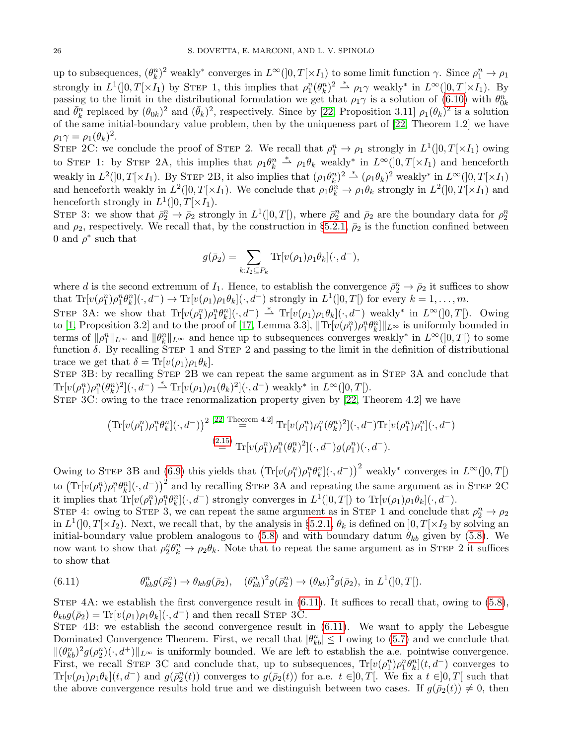up to subsequences,  $(\theta_k^n)^2$  weakly<sup>\*</sup> converges in  $L^\infty([0,T[\times I_1])$  to some limit function  $\gamma$ . Since  $\rho_1^n \to \rho_1$ strongly in  $L^1(]0,T[\times I_1)$  by STEP 1, this implies that  $\rho_1^n(\theta_k^n)^2 \stackrel{*}{\rightharpoonup} \rho_1\gamma$  weakly\* in  $L^\infty(]0,T[\times I_1)$ . By passing to the limit in the distributional formulation we get that  $\rho_1\gamma$  is a solution of [\(6.10\)](#page-24-1) with  $\theta_{0k}^n$  and  $\bar{\theta}_k^n$  replaced by  $(\theta_{0k})^2$  and  $(\bar{\theta}_k)^2$ , respectively. Since by [\[22,](#page-27-12) Proposition 3.11]  $\rho_1(\$ of the same initial-boundary value problem, then by the uniqueness part of [\[22,](#page-27-12) Theorem 1.2] we have  $\rho_1 \gamma = \rho_1(\theta_k)^2$ .

STEP 2C: we conclude the proof of STEP 2. We recall that  $\rho_1^n \to \rho_1$  strongly in  $L^1(]0,T[\times I_1)$  owing to STEP 1: by STEP 2A, this implies that  $\rho_1 \theta_k^n \stackrel{*}{\rightharpoonup} \rho_1 \theta_k$  weakly<sup>\*</sup> in  $L^\infty(]0,T[\times I_1)$  and henceforth weakly in  $L^2(]0,T[\times I_1)$ . By STEP 2B, it also implies that  $(\rho_1\theta_k^n)^2 \stackrel{*}{\rightharpoonup} (\rho_1\theta_k)^2$  weakly\* in  $L^\infty(]0,T[\times I_1)$ and henceforth weakly in  $L^2(]0,T[\times I_1)$ . We conclude that  $\rho_1 \theta_k^n \to \rho_1 \theta_k$  strongly in  $L^2(]0,T[\times I_1)$  and henceforth strongly in  $L^1(]0,T[ \times I_1)$ .

STEP 3: we show that  $\bar{\rho}_2^n \to \bar{\rho}_2$  strongly in  $L^1(]0,T[)$ , where  $\bar{\rho}_2^n$  and  $\bar{\rho}_2$  are the boundary data for  $\rho_2^n$ and  $\rho_2$ , respectively. We recall that, by the construction in §[5.2.1,](#page-20-1)  $\bar{\rho}_2$  is the function confined between 0 and  $\rho^*$  such that

$$
g(\bar{\rho}_2) = \sum_{k:I_2 \subseteq P_k} \text{Tr}[v(\rho_1)\rho_1\theta_k](\cdot, d^-),
$$

where d is the second extremum of  $I_1$ . Hence, to establish the convergence  $\bar{\rho}_2^n \to \bar{\rho}_2$  it suffices to show that  $\text{Tr}[v(\rho_1^n)\rho_1^n\theta_k^n](\cdot, d^-) \to \text{Tr}[v(\rho_1)\rho_1\theta_k](\cdot, d^-)$  strongly in  $L^1(]0,T[)$  for every  $k=1,\ldots,m$ .

STEP 3A: we show that  $\text{Tr}[v(\rho_1^n)\rho_1^n\theta_k^n](\cdot, d^-) \stackrel{*}{\rightharpoonup} \text{Tr}[v(\rho_1)\rho_1\theta_k](\cdot, d^-)$  weakly<sup>\*</sup> in  $L^{\infty}(]0, T[$ ). Owing to [\[1,](#page-26-13) Proposition 3.2] and to the proof of [\[17,](#page-26-12) Lemma 3.3],  $\|\text{Tr}[v(\rho_1^n)\rho_1^n\theta_k^n]\|_{L^\infty}$  is uniformly bounded in terms of  $\|\rho_1^n\|_{L^\infty}$  and  $\|\theta_k^n\|_{L^\infty}$  and hence up to subsequences converges weakly<sup>\*</sup> in  $L^\infty([0,T])$  to some function  $\delta$ . By recalling STEP 1 and STEP 2 and passing to the limit in the definition of distributional trace we get that  $\delta = \text{Tr}[v(\rho_1)\rho_1\theta_k].$ 

STEP 3B: by recalling STEP 2B we can repeat the same argument as in STEP 3A and conclude that  $\text{Tr}[v(\rho_1^n)\rho_1^n(\theta_k^n)^2](\cdot, d^-) \stackrel{*}{\rightharpoonup} \text{Tr}[v(\rho_1)\rho_1(\theta_k)^2](\cdot, d^-)$  weakly\* in  $L^{\infty}(]0, T[)$ .

STEP 3C: owing to the trace renormalization property given by [\[22,](#page-27-12) Theorem 4.2] we have

$$
\left(\operatorname{Tr}[v(\rho_1^n)\rho_1^n\theta_k^n](\cdot,d^-)\right)^2 \stackrel{\text{[22, Theorem 4.2]}}{=} \operatorname{Tr}[v(\rho_1^n)\rho_1^n(\theta_k^n)^2](\cdot,d^-)\operatorname{Tr}[v(\rho_1^n)\rho_1^n](\cdot,d^-)
$$
\n
$$
\stackrel{\text{(2.15)}}{=} \operatorname{Tr}[v(\rho_1^n)\rho_1^n(\theta_k^n)^2](\cdot,d^-)g(\rho_1^n)(\cdot,d^-).
$$

Owing to STEP 3B and [\(6.9\)](#page-24-2) this yields that  $\left(\text{Tr}[v(\rho_1^n)\rho_1^n\theta_k^n](\cdot, d^-)\right)^2$  weakly\* converges in  $L^{\infty}(]0, T[)$ to  $\left(\text{Tr}[v(\rho_1^n)\rho_1^n\theta_k^n](\cdot, d-\right))^2$  and by recalling STEP 3A and repeating the same argument as in STEP 2C it implies that  $\text{Tr}[v(\rho_1^n)\rho_1^n\theta_k^n](\cdot, d^-)$  strongly converges in  $L^1(]0,T[)$  to  $\text{Tr}[v(\rho_1)\rho_1\theta_k](\cdot, d^-)$ .

STEP 4: owing to STEP 3, we can repeat the same argument as in STEP 1 and conclude that  $\rho_2^n \to \rho_2$ in  $L^1(]0,T[\times I_2)$ . Next, we recall that, by the analysis in §[5.2.1,](#page-20-1)  $\theta_k$  is defined on  $]0,T[\times I_2$  by solving an initial-boundary value problem analogous to [\(5.8\)](#page-21-3) and with boundary datum  $\theta_{kb}$  given by (5.8). We now want to show that  $\rho_2^n \theta_k^n \to \rho_2 \theta_k$ . Note that to repeat the same argument as in STEP 2 it suffices to show that

<span id="page-25-0"></span>(6.11) 
$$
\theta_{kb}^n g(\bar{\rho}_2^n) \to \theta_{kb} g(\bar{\rho}_2), \quad (\theta_{kb}^n)^2 g(\bar{\rho}_2^n) \to (\theta_{kb})^2 g(\bar{\rho}_2), \text{ in } L^1(]0, T[).
$$

STEP  $4A$ : we establish the first convergence result in  $(6.11)$ . It suffices to recall that, owing to  $(5.8)$ ,  $\theta_{kb}g(\bar{\rho}_2) = \text{Tr}[v(\rho_1)\rho_1\theta_k](\cdot, d^-)$  and then recall STEP 3C.

Step 4B: we establish the second convergence result in [\(6.11\)](#page-25-0). We want to apply the Lebesgue Dominated Convergence Theorem. First, we recall that  $|\theta_{kb}^n| \leq 1$  owing to [\(5.7\)](#page-21-2) and we conclude that  $\|(\theta_{kb}^n)^2 g(\rho_{2}^n)(\cdot, d^+) \|_{L^\infty}$  is uniformly bounded. We are left to establish the a.e. pointwise convergence. First, we recall STEP 3C and conclude that, up to subsequences,  $Tr[v(\rho_1^n)\rho_1^n\theta_k^n](t, d^-)$  converges to  $Tr[v(\rho_1)\rho_1\theta_k](t, d^-)$  and  $g(\bar{\rho}_2^n(t))$  converges to  $g(\bar{\rho}_2(t))$  for a.e.  $t \in ]0,T[$ . We fix a  $t \in ]0,T[$  such that the above convergence results hold true and we distinguish between two cases. If  $g(\bar{\rho}_2(t)) \neq 0$ , then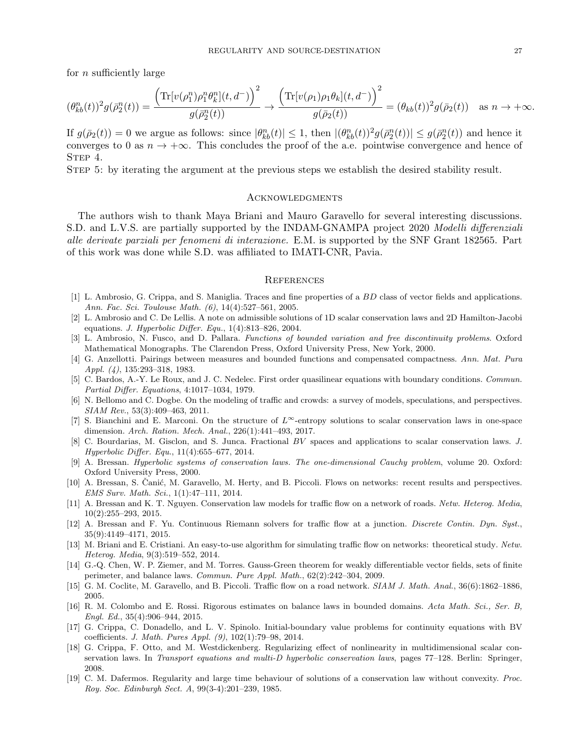for n sufficiently large

$$
(\theta_{kb}^n(t))^2 g(\bar{\rho}_2^n(t)) = \frac{\left(\text{Tr}[v(\rho_1^n)\rho_1^n \theta_k^n](t, d^-)\right)^2}{g(\bar{\rho}_2^n(t))} \to \frac{\left(\text{Tr}[v(\rho_1)\rho_1 \theta_k](t, d^-)\right)^2}{g(\bar{\rho}_2(t))} = (\theta_{kb}(t))^2 g(\bar{\rho}_2(t)) \quad \text{as } n \to +\infty.
$$

If  $g(\bar{\rho}_2(t)) = 0$  we argue as follows: since  $|\theta_{kb}^n(t)| \leq 1$ , then  $|(\theta_{kb}^n(t))^2 g(\bar{\rho}_2^n(t))| \leq g(\bar{\rho}_2^n(t))$  and hence it converges to 0 as  $n \to +\infty$ . This concludes the proof of the a.e. pointwise convergence and hence of STEP 4.

Step 5: by iterating the argument at the previous steps we establish the desired stability result.

#### **ACKNOWLEDGMENTS**

The authors wish to thank Maya Briani and Mauro Garavello for several interesting discussions. S.D. and L.V.S. are partially supported by the INDAM-GNAMPA project 2020 Modelli differenziali alle derivate parziali per fenomeni di interazione. E.M. is supported by the SNF Grant 182565. Part of this work was done while S.D. was affiliated to IMATI-CNR, Pavia.

#### **REFERENCES**

- <span id="page-26-13"></span>[1] L. Ambrosio, G. Crippa, and S. Maniglia. Traces and fine properties of a BD class of vector fields and applications. Ann. Fac. Sci. Toulouse Math. (6), 14(4):527–561, 2005.
- <span id="page-26-0"></span>[2] L. Ambrosio and C. De Lellis. A note on admissible solutions of 1D scalar conservation laws and 2D Hamilton-Jacobi equations. J. Hyperbolic Differ. Equ.,  $1(4)$ :813-826, 2004.
- <span id="page-26-4"></span>[3] L. Ambrosio, N. Fusco, and D. Pallara. Functions of bounded variation and free discontinuity problems. Oxford Mathematical Monographs. The Clarendon Press, Oxford University Press, New York, 2000.
- <span id="page-26-14"></span>[4] G. Anzellotti. Pairings between measures and bounded functions and compensated compactness. Ann. Mat. Pura Appl. (4), 135:293–318, 1983.
- <span id="page-26-11"></span>[5] C. Bardos, A.-Y. Le Roux, and J. C. Nedelec. First order quasilinear equations with boundary conditions. Commun. Partial Differ. Equations, 4:1017–1034, 1979.
- <span id="page-26-5"></span>[6] N. Bellomo and C. Dogbe. On the modeling of traffic and crowds: a survey of models, speculations, and perspectives. SIAM Rev., 53(3):409–463, 2011.
- <span id="page-26-1"></span>[7] S. Bianchini and E. Marconi. On the structure of  $L^{\infty}$ -entropy solutions to scalar conservation laws in one-space dimension. Arch. Ration. Mech. Anal., 226(1):441–493, 2017.
- <span id="page-26-2"></span>[8] C. Bourdarias, M. Gisclon, and S. Junca. Fractional BV spaces and applications to scalar conservation laws. J. Hyperbolic Differ. Equ., 11(4):655–677, 2014.
- <span id="page-26-17"></span>[9] A. Bressan. Hyperbolic systems of conservation laws. The one-dimensional Cauchy problem, volume 20. Oxford: Oxford University Press, 2000.
- <span id="page-26-6"></span>[10] A. Bressan, S. Canić, M. Garavello, M. Herty, and B. Piccoli. Flows on networks: recent results and perspectives. EMS Surv. Math. Sci., 1(1):47–111, 2014.
- <span id="page-26-7"></span>[11] A. Bressan and K. T. Nguyen. Conservation law models for traffic flow on a network of roads. Netw. Heterog. Media, 10(2):255–293, 2015.
- <span id="page-26-9"></span>[12] A. Bressan and F. Yu. Continuous Riemann solvers for traffic flow at a junction. Discrete Contin. Dyn. Syst., 35(9):4149–4171, 2015.
- <span id="page-26-10"></span>[13] M. Briani and E. Cristiani. An easy-to-use algorithm for simulating traffic flow on networks: theoretical study. Netw. Heterog. Media, 9(3):519–552, 2014.
- <span id="page-26-15"></span>[14] G.-Q. Chen, W. P. Ziemer, and M. Torres. Gauss-Green theorem for weakly differentiable vector fields, sets of finite perimeter, and balance laws. Commun. Pure Appl. Math., 62(2):242–304, 2009.
- <span id="page-26-8"></span>[15] G. M. Coclite, M. Garavello, and B. Piccoli. Traffic flow on a road network. SIAM J. Math. Anal., 36(6):1862–1886, 2005.
- <span id="page-26-18"></span>[16] R. M. Colombo and E. Rossi. Rigorous estimates on balance laws in bounded domains. Acta Math. Sci., Ser. B, Engl. Ed., 35(4):906–944, 2015.
- <span id="page-26-12"></span>[17] G. Crippa, C. Donadello, and L. V. Spinolo. Initial-boundary value problems for continuity equations with BV coefficients. J. Math. Pures Appl. (9), 102(1):79–98, 2014.
- <span id="page-26-3"></span>[18] G. Crippa, F. Otto, and M. Westdickenberg. Regularizing effect of nonlinearity in multidimensional scalar conservation laws. In Transport equations and multi-D hyperbolic conservation laws, pages 77–128. Berlin: Springer, 2008.
- <span id="page-26-16"></span>[19] C. M. Dafermos. Regularity and large time behaviour of solutions of a conservation law without convexity. Proc. Roy. Soc. Edinburgh Sect. A, 99(3-4):201–239, 1985.